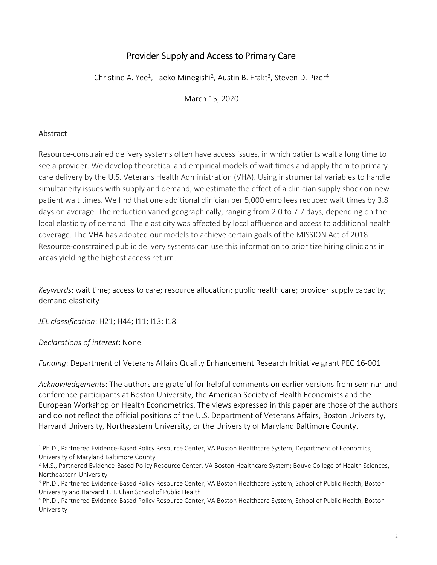# Provider Supply and Access to Primary Care

Christine A. Yee<sup>1</sup>, Taeko Minegishi<sup>2</sup>, Austin B. Frakt<sup>3</sup>, Steven D. Pizer<sup>4</sup>

March 15, 2020

# Abstract

Resource‐constrained delivery systems often have access issues, in which patients wait a long time to see a provider. We develop theoretical and empirical models of wait times and apply them to primary care delivery by the U.S. Veterans Health Administration (VHA). Using instrumental variables to handle simultaneity issues with supply and demand, we estimate the effect of a clinician supply shock on new patient wait times. We find that one additional clinician per 5,000 enrollees reduced wait times by 3.8 days on average. The reduction varied geographically, ranging from 2.0 to 7.7 days, depending on the local elasticity of demand. The elasticity was affected by local affluence and access to additional health coverage. The VHA has adopted our models to achieve certain goals of the MISSION Act of 2018. Resource-constrained public delivery systems can use this information to prioritize hiring clinicians in areas yielding the highest access return.

*Keywords*: wait time; access to care; resource allocation; public health care; provider supply capacity; demand elasticity

*JEL classification*: H21; H44; I11; I13; I18

*Declarations of interest*: None

*Funding*: Department of Veterans Affairs Quality Enhancement Research Initiative grant PEC 16‐001

*Acknowledgements*: The authors are grateful for helpful comments on earlier versions from seminar and conference participants at Boston University, the American Society of Health Economists and the European Workshop on Health Econometrics. The views expressed in this paper are those of the authors and do not reflect the official positions of the U.S. Department of Veterans Affairs, Boston University, Harvard University, Northeastern University, or the University of Maryland Baltimore County.

<sup>&</sup>lt;sup>1</sup> Ph.D., Partnered Evidence-Based Policy Resource Center, VA Boston Healthcare System; Department of Economics, University of Maryland Baltimore County

<sup>&</sup>lt;sup>2</sup> M.S., Partnered Evidence-Based Policy Resource Center, VA Boston Healthcare System; Bouve College of Health Sciences, Northeastern University

<sup>&</sup>lt;sup>3</sup> Ph.D., Partnered Evidence-Based Policy Resource Center, VA Boston Healthcare System; School of Public Health, Boston University and Harvard T.H. Chan School of Public Health

<sup>4</sup> Ph.D., Partnered Evidence‐Based Policy Resource Center, VA Boston Healthcare System; School of Public Health, Boston University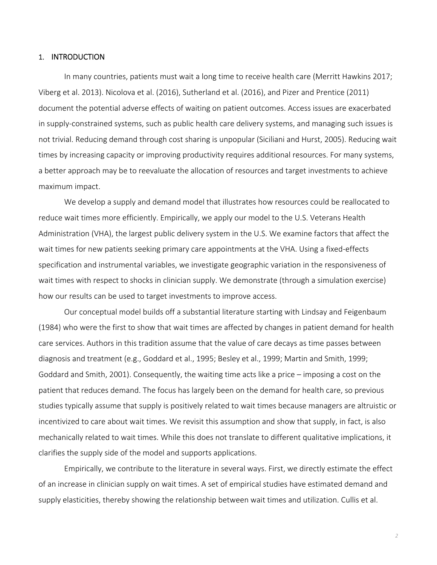### 1. INTRODUCTION

In many countries, patients must wait a long time to receive health care (Merritt Hawkins 2017; Viberg et al. 2013). Nicolova et al. (2016), Sutherland et al. (2016), and Pizer and Prentice (2011) document the potential adverse effects of waiting on patient outcomes. Access issues are exacerbated in supply‐constrained systems, such as public health care delivery systems, and managing such issues is not trivial. Reducing demand through cost sharing is unpopular (Siciliani and Hurst, 2005). Reducing wait times by increasing capacity or improving productivity requires additional resources. For many systems, a better approach may be to reevaluate the allocation of resources and target investments to achieve maximum impact.

We develop a supply and demand model that illustrates how resources could be reallocated to reduce wait times more efficiently. Empirically, we apply our model to the U.S. Veterans Health Administration (VHA), the largest public delivery system in the U.S. We examine factors that affect the wait times for new patients seeking primary care appointments at the VHA. Using a fixed-effects specification and instrumental variables, we investigate geographic variation in the responsiveness of wait times with respect to shocks in clinician supply. We demonstrate (through a simulation exercise) how our results can be used to target investments to improve access.

Our conceptual model builds off a substantial literature starting with Lindsay and Feigenbaum (1984) who were the first to show that wait times are affected by changes in patient demand for health care services. Authors in this tradition assume that the value of care decays as time passes between diagnosis and treatment (e.g., Goddard et al., 1995; Besley et al., 1999; Martin and Smith, 1999; Goddard and Smith, 2001). Consequently, the waiting time acts like a price – imposing a cost on the patient that reduces demand. The focus has largely been on the demand for health care, so previous studies typically assume that supply is positively related to wait times because managers are altruistic or incentivized to care about wait times. We revisit this assumption and show that supply, in fact, is also mechanically related to wait times. While this does not translate to different qualitative implications, it clarifies the supply side of the model and supports applications.

Empirically, we contribute to the literature in several ways. First, we directly estimate the effect of an increase in clinician supply on wait times. A set of empirical studies have estimated demand and supply elasticities, thereby showing the relationship between wait times and utilization. Cullis et al.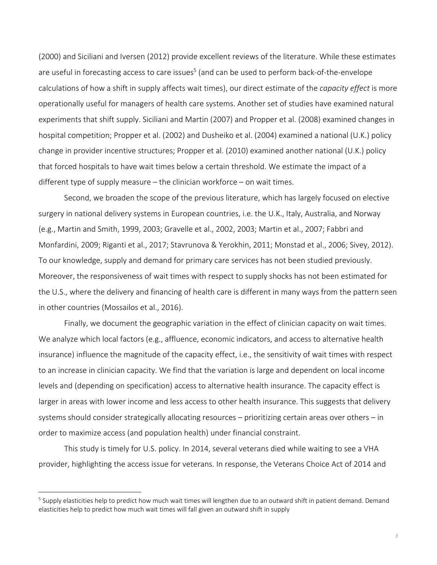(2000) and Siciliani and Iversen (2012) provide excellent reviews of the literature. While these estimates are useful in forecasting access to care issues<sup>5</sup> (and can be used to perform back-of-the-envelope calculations of how a shift in supply affects wait times), our direct estimate of the *capacity effect* is more operationally useful for managers of health care systems. Another set of studies have examined natural experiments that shift supply. Siciliani and Martin (2007) and Propper et al. (2008) examined changes in hospital competition; Propper et al. (2002) and Dusheiko et al. (2004) examined a national (U.K.) policy change in provider incentive structures; Propper et al. (2010) examined another national (U.K.) policy that forced hospitals to have wait times below a certain threshold. We estimate the impact of a different type of supply measure – the clinician workforce – on wait times.

Second, we broaden the scope of the previous literature, which has largely focused on elective surgery in national delivery systems in European countries, i.e. the U.K., Italy, Australia, and Norway (e.g., Martin and Smith, 1999, 2003; Gravelle et al., 2002, 2003; Martin et al., 2007; Fabbri and Monfardini, 2009; Riganti et al., 2017; Stavrunova & Yerokhin, 2011; Monstad et al., 2006; Sivey, 2012). To our knowledge, supply and demand for primary care services has not been studied previously. Moreover, the responsiveness of wait times with respect to supply shocks has not been estimated for the U.S., where the delivery and financing of health care is different in many ways from the pattern seen in other countries (Mossailos et al., 2016).

Finally, we document the geographic variation in the effect of clinician capacity on wait times. We analyze which local factors (e.g., affluence, economic indicators, and access to alternative health insurance) influence the magnitude of the capacity effect, i.e., the sensitivity of wait times with respect to an increase in clinician capacity. We find that the variation is large and dependent on local income levels and (depending on specification) access to alternative health insurance. The capacity effect is larger in areas with lower income and less access to other health insurance. This suggests that delivery systems should consider strategically allocating resources – prioritizing certain areas over others – in order to maximize access (and population health) under financial constraint.

This study is timely for U.S. policy. In 2014, several veterans died while waiting to see a VHA provider, highlighting the access issue for veterans. In response, the Veterans Choice Act of 2014 and

<sup>&</sup>lt;sup>5</sup> Supply elasticities help to predict how much wait times will lengthen due to an outward shift in patient demand. Demand elasticities help to predict how much wait times will fall given an outward shift in supply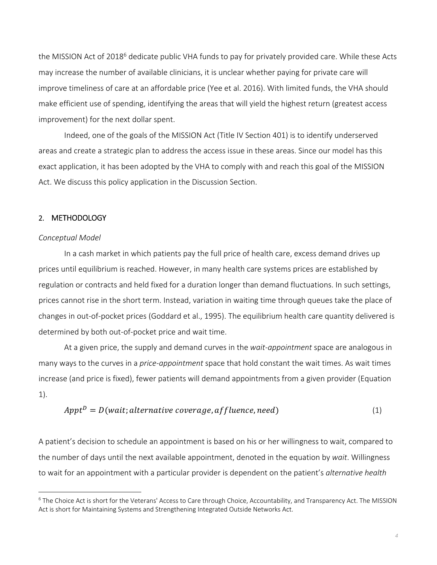the MISSION Act of 2018<sup>6</sup> dedicate public VHA funds to pay for privately provided care. While these Acts may increase the number of available clinicians, it is unclear whether paying for private care will improve timeliness of care at an affordable price (Yee et al. 2016). With limited funds, the VHA should make efficient use of spending, identifying the areas that will yield the highest return (greatest access improvement) for the next dollar spent.

Indeed, one of the goals of the MISSION Act (Title IV Section 401) is to identify underserved areas and create a strategic plan to address the access issue in these areas. Since our model has this exact application, it has been adopted by the VHA to comply with and reach this goal of the MISSION Act. We discuss this policy application in the Discussion Section.

### 2. METHODOLOGY

### *Conceptual Model*

In a cash market in which patients pay the full price of health care, excess demand drives up prices until equilibrium is reached. However, in many health care systems prices are established by regulation or contracts and held fixed for a duration longer than demand fluctuations. In such settings, prices cannot rise in the short term. Instead, variation in waiting time through queues take the place of changes in out‐of‐pocket prices (Goddard et al., 1995). The equilibrium health care quantity delivered is determined by both out‐of‐pocket price and wait time.

At a given price, the supply and demand curves in the *wait‐appointment* space are analogous in many ways to the curves in a *price‐appointment* space that hold constant the wait times. As wait times increase (and price is fixed), fewer patients will demand appointments from a given provider (Equation 1).

$$
ApptD = D(wait; alternative coverage, affluence, need)
$$
\n(1)

A patient's decision to schedule an appointment is based on his or her willingness to wait, compared to the number of days until the next available appointment, denoted in the equation by *wait*. Willingness to wait for an appointment with a particular provider is dependent on the patient's *alternative health* 

<sup>&</sup>lt;sup>6</sup> The Choice Act is short for the Veterans' Access to Care through Choice, Accountability, and Transparency Act. The MISSION Act is short for Maintaining Systems and Strengthening Integrated Outside Networks Act.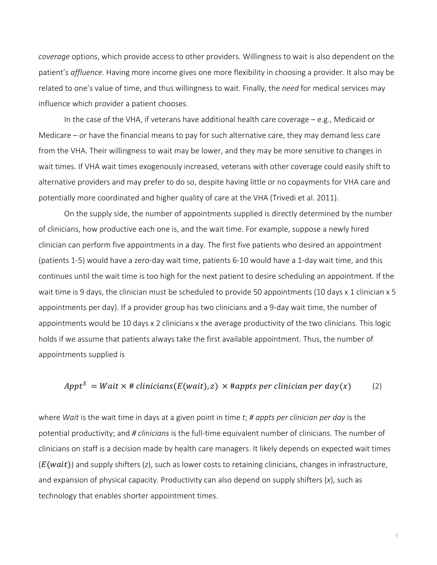*coverage* options, which provide access to other providers. Willingness to wait is also dependent on the patient's *affluence*. Having more income gives one more flexibility in choosing a provider. It also may be related to one's value of time, and thus willingness to wait. Finally, the *need* for medical services may influence which provider a patient chooses.

In the case of the VHA, if veterans have additional health care coverage – e.g., Medicaid or Medicare – or have the financial means to pay for such alternative care, they may demand less care from the VHA. Their willingness to wait may be lower, and they may be more sensitive to changes in wait times. If VHA wait times exogenously increased, veterans with other coverage could easily shift to alternative providers and may prefer to do so, despite having little or no copayments for VHA care and potentially more coordinated and higher quality of care at the VHA (Trivedi et al. 2011).

On the supply side, the number of appointments supplied is directly determined by the number of clinicians, how productive each one is, and the wait time. For example, suppose a newly hired clinician can perform five appointments in a day. The first five patients who desired an appointment (patients 1‐5) would have a zero‐day wait time, patients 6‐10 would have a 1‐day wait time, and this continues until the wait time is too high for the next patient to desire scheduling an appointment. If the wait time is 9 days, the clinician must be scheduled to provide 50 appointments (10 days x 1 clinician x 5 appointments per day). If a provider group has two clinicians and a 9‐day wait time, the number of appointments would be 10 days x 2 clinicians x the average productivity of the two clinicians. This logic holds if we assume that patients always take the first available appointment. Thus, the number of appointments supplied is

# $Appt^S = Wait \times # *clinicians*(E(wait), z) \times #appts per *clinician per day*(x)$  (2)

where *Wait* is the wait time in days at a given point in time *t*; *# appts per clinician per day* is the potential productivity; and *# clinicians* is the full-time equivalent number of clinicians. The number of clinicians on staff is a decision made by health care managers. It likely depends on expected wait times (E(wait)) and supply shifters (*z*), such as lower costs to retaining clinicians, changes in infrastructure, and expansion of physical capacity. Productivity can also depend on supply shifters (*x*), such as technology that enables shorter appointment times.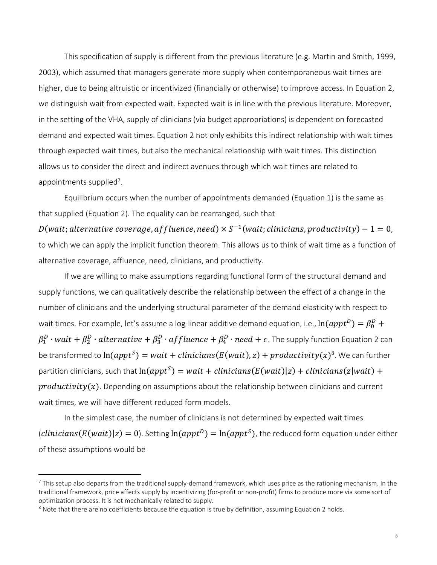This specification of supply is different from the previous literature (e.g. Martin and Smith, 1999, 2003), which assumed that managers generate more supply when contemporaneous wait times are higher, due to being altruistic or incentivized (financially or otherwise) to improve access. In Equation 2, we distinguish wait from expected wait. Expected wait is in line with the previous literature. Moreover, in the setting of the VHA, supply of clinicians (via budget appropriations) is dependent on forecasted demand and expected wait times. Equation 2 not only exhibits this indirect relationship with wait times through expected wait times, but also the mechanical relationship with wait times. This distinction allows us to consider the direct and indirect avenues through which wait times are related to appointments supplied<sup>7</sup>.

Equilibrium occurs when the number of appointments demanded (Equation 1) is the same as that supplied (Equation 2). The equality can be rearranged, such that

 $D(wait; alternative coverage, affluence, need) \times S^{-1}(wait; clinicians, productivity) - 1 = 0$ , to which we can apply the implicit function theorem. This allows us to think of wait time as a function of alternative coverage, affluence, need, clinicians, and productivity.

If we are willing to make assumptions regarding functional form of the structural demand and supply functions, we can qualitatively describe the relationship between the effect of a change in the number of clinicians and the underlying structural parameter of the demand elasticity with respect to wait times. For example, let's assume a log-linear additive demand equation, i.e.,  $\ln (appt^D) = \beta_0^D +$  $\beta^D_1\cdot$  wai $t+\beta^D_2\cdot$  alternative  $+\,\beta^D_3\cdot$  affluence  $+\,\beta^D_4\cdot$  need  $+$   $\epsilon$ . The supply function Equation 2 can be transformed to  $ln(appt^S) = wait + clinicians(E(wait), z) + productivity(x)^8$ . We can further partition clinicians, such that  $ln(appt^S) = wait + clinicians(E(wait)|z) + clinicians(z|wait) + i$  $productivity(x)$ . Depending on assumptions about the relationship between clinicians and current wait times, we will have different reduced form models.

In the simplest case, the number of clinicians is not determined by expected wait times  $clinicians(E(wait)|z) = 0$ . Setting  $ln(appt^D) = ln(appt^S)$ , the reduced form equation under either of these assumptions would be

<sup>&</sup>lt;sup>7</sup> This setup also departs from the traditional supply-demand framework, which uses price as the rationing mechanism. In the traditional framework, price affects supply by incentivizing (for‐profit or non‐profit) firms to produce more via some sort of optimization process. It is not mechanically related to supply.

<sup>&</sup>lt;sup>8</sup> Note that there are no coefficients because the equation is true by definition, assuming Equation 2 holds.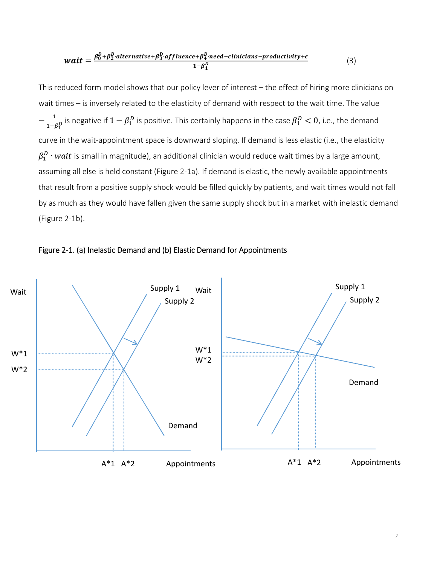$$
wait = \frac{\beta_0^D + \beta_2^D \cdot alternative + \beta_3^D \cdot affluence + \beta_4^D \cdot need-clinicians-productivity + \epsilon}{1 - \beta_1^D}
$$
 (3)

This reduced form model shows that our policy lever of interest – the effect of hiring more clinicians on wait times – is inversely related to the elasticity of demand with respect to the wait time. The value  $-\frac{1}{1-\beta_1^D}$  is negative if  $1-\beta_1^D$  is positive. This certainly happens in the case  $\beta_1^D < 0$ , i.e., the demand curve in the wait‐appointment space is downward sloping. If demand is less elastic (i.e., the elasticity  $\beta^D_1\cdot wait$  is small in magnitude), an additional clinician would reduce wait times by a large amount, assuming all else is held constant (Figure 2‐1a). If demand is elastic, the newly available appointments that result from a positive supply shock would be filled quickly by patients, and wait times would not fall by as much as they would have fallen given the same supply shock but in a market with inelastic demand (Figure 2‐1b).



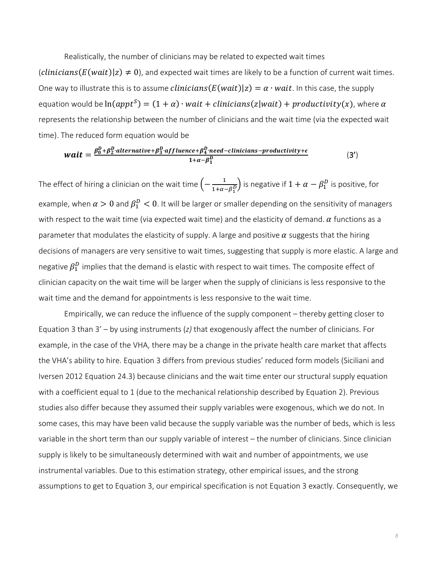Realistically, the number of clinicians may be related to expected wait times  $(clinicians(E(wait)|z) \neq 0)$ , and expected wait times are likely to be a function of current wait times. One way to illustrate this is to assume *clinicians*  $(E(wait)|z) = \alpha \cdot wait$ . In this case, the supply equation would be  $ln(appt^S) = (1 + \alpha) \cdot wait + clinicians(z|wait) + productivity(x)$ , where  $\alpha$ represents the relationship between the number of clinicians and the wait time (via the expected wait time). The reduced form equation would be

$$
wait = \frac{\beta_0^D + \beta_2^D \cdot alternative + \beta_3^D \cdot affluence + \beta_4^D \cdot need-clinicians-productivity + \epsilon}{1 + \alpha - \beta_1^D}
$$
 (3')

The effect of hiring a clinician on the wait time  $\left(-\frac{1}{1+\alpha-\beta_1^D}\right)$  is negative if  $1+\alpha-\beta_1^D$  is positive, for example, when  $\alpha > 0$  and  $\beta_1^D < 0$ . It will be larger or smaller depending on the sensitivity of managers with respect to the wait time (via expected wait time) and the elasticity of demand.  $\alpha$  functions as a parameter that modulates the elasticity of supply. A large and positive  $\alpha$  suggests that the hiring decisions of managers are very sensitive to wait times, suggesting that supply is more elastic. A large and negative  $\beta_1^D$  implies that the demand is elastic with respect to wait times. The composite effect of clinician capacity on the wait time will be larger when the supply of clinicians is less responsive to the wait time and the demand for appointments is less responsive to the wait time.

Empirically, we can reduce the influence of the supply component – thereby getting closer to Equation 3 than 3' – by using instruments (*z)* that exogenously affect the number of clinicians. For example, in the case of the VHA, there may be a change in the private health care market that affects the VHA's ability to hire. Equation 3 differs from previous studies' reduced form models (Siciliani and Iversen 2012 Equation 24.3) because clinicians and the wait time enter our structural supply equation with a coefficient equal to 1 (due to the mechanical relationship described by Equation 2). Previous studies also differ because they assumed their supply variables were exogenous, which we do not. In some cases, this may have been valid because the supply variable was the number of beds, which is less variable in the short term than our supply variable of interest – the number of clinicians. Since clinician supply is likely to be simultaneously determined with wait and number of appointments, we use instrumental variables. Due to this estimation strategy, other empirical issues, and the strong assumptions to get to Equation 3, our empirical specification is not Equation 3 exactly. Consequently, we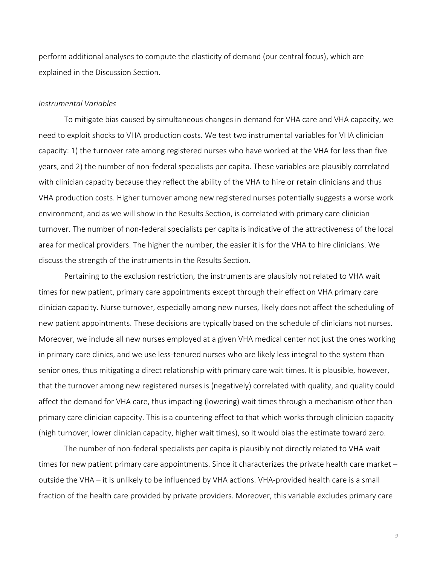perform additional analyses to compute the elasticity of demand (our central focus), which are explained in the Discussion Section.

#### *Instrumental Variables*

To mitigate bias caused by simultaneous changes in demand for VHA care and VHA capacity, we need to exploit shocks to VHA production costs. We test two instrumental variables for VHA clinician capacity: 1) the turnover rate among registered nurses who have worked at the VHA for less than five years, and 2) the number of non‐federal specialists per capita. These variables are plausibly correlated with clinician capacity because they reflect the ability of the VHA to hire or retain clinicians and thus VHA production costs. Higher turnover among new registered nurses potentially suggests a worse work environment, and as we will show in the Results Section, is correlated with primary care clinician turnover. The number of non‐federal specialists per capita is indicative of the attractiveness of the local area for medical providers. The higher the number, the easier it is for the VHA to hire clinicians. We discuss the strength of the instruments in the Results Section.

Pertaining to the exclusion restriction, the instruments are plausibly not related to VHA wait times for new patient, primary care appointments except through their effect on VHA primary care clinician capacity. Nurse turnover, especially among new nurses, likely does not affect the scheduling of new patient appointments. These decisions are typically based on the schedule of clinicians not nurses. Moreover, we include all new nurses employed at a given VHA medical center not just the ones working in primary care clinics, and we use less-tenured nurses who are likely less integral to the system than senior ones, thus mitigating a direct relationship with primary care wait times. It is plausible, however, that the turnover among new registered nurses is (negatively) correlated with quality, and quality could affect the demand for VHA care, thus impacting (lowering) wait times through a mechanism other than primary care clinician capacity. This is a countering effect to that which works through clinician capacity (high turnover, lower clinician capacity, higher wait times), so it would bias the estimate toward zero.

The number of non‐federal specialists per capita is plausibly not directly related to VHA wait times for new patient primary care appointments. Since it characterizes the private health care market – outside the VHA – it is unlikely to be influenced by VHA actions. VHA‐provided health care is a small fraction of the health care provided by private providers. Moreover, this variable excludes primary care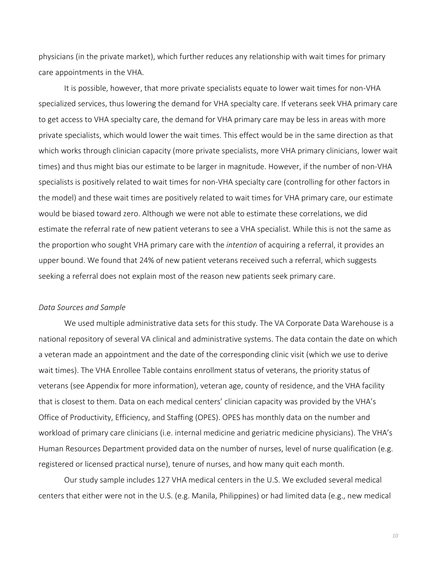physicians (in the private market), which further reduces any relationship with wait times for primary care appointments in the VHA.

It is possible, however, that more private specialists equate to lower wait times for non‐VHA specialized services, thus lowering the demand for VHA specialty care. If veterans seek VHA primary care to get access to VHA specialty care, the demand for VHA primary care may be less in areas with more private specialists, which would lower the wait times. This effect would be in the same direction as that which works through clinician capacity (more private specialists, more VHA primary clinicians, lower wait times) and thus might bias our estimate to be larger in magnitude. However, if the number of non‐VHA specialists is positively related to wait times for non-VHA specialty care (controlling for other factors in the model) and these wait times are positively related to wait times for VHA primary care, our estimate would be biased toward zero. Although we were not able to estimate these correlations, we did estimate the referral rate of new patient veterans to see a VHA specialist. While this is not the same as the proportion who sought VHA primary care with the *intention* of acquiring a referral, it provides an upper bound. We found that 24% of new patient veterans received such a referral, which suggests seeking a referral does not explain most of the reason new patients seek primary care.

### *Data Sources and Sample*

We used multiple administrative data sets for this study. The VA Corporate Data Warehouse is a national repository of several VA clinical and administrative systems. The data contain the date on which a veteran made an appointment and the date of the corresponding clinic visit (which we use to derive wait times). The VHA Enrollee Table contains enrollment status of veterans, the priority status of veterans (see Appendix for more information), veteran age, county of residence, and the VHA facility that is closest to them. Data on each medical centers' clinician capacity was provided by the VHA's Office of Productivity, Efficiency, and Staffing (OPES). OPES has monthly data on the number and workload of primary care clinicians (i.e. internal medicine and geriatric medicine physicians). The VHA's Human Resources Department provided data on the number of nurses, level of nurse qualification (e.g. registered or licensed practical nurse), tenure of nurses, and how many quit each month.

Our study sample includes 127 VHA medical centers in the U.S. We excluded several medical centers that either were not in the U.S. (e.g. Manila, Philippines) or had limited data (e.g., new medical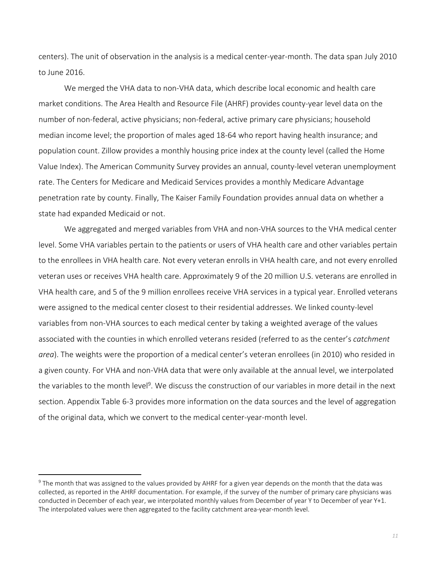centers). The unit of observation in the analysis is a medical center‐year‐month. The data span July 2010 to June 2016.

We merged the VHA data to non-VHA data, which describe local economic and health care market conditions. The Area Health and Resource File (AHRF) provides county‐year level data on the number of non‐federal, active physicians; non‐federal, active primary care physicians; household median income level; the proportion of males aged 18‐64 who report having health insurance; and population count. Zillow provides a monthly housing price index at the county level (called the Home Value Index). The American Community Survey provides an annual, county‐level veteran unemployment rate. The Centers for Medicare and Medicaid Services provides a monthly Medicare Advantage penetration rate by county. Finally, The Kaiser Family Foundation provides annual data on whether a state had expanded Medicaid or not.

We aggregated and merged variables from VHA and non-VHA sources to the VHA medical center level. Some VHA variables pertain to the patients or users of VHA health care and other variables pertain to the enrollees in VHA health care. Not every veteran enrolls in VHA health care, and not every enrolled veteran uses or receives VHA health care. Approximately 9 of the 20 million U.S. veterans are enrolled in VHA health care, and 5 of the 9 million enrollees receive VHA services in a typical year. Enrolled veterans were assigned to the medical center closest to their residential addresses. We linked county‐level variables from non‐VHA sources to each medical center by taking a weighted average of the values associated with the counties in which enrolled veterans resided (referred to as the center's *catchment area*). The weights were the proportion of a medical center's veteran enrollees (in 2010) who resided in a given county. For VHA and non‐VHA data that were only available at the annual level, we interpolated the variables to the month level<sup>9</sup>. We discuss the construction of our variables in more detail in the next section. Appendix Table 6‐3 provides more information on the data sources and the level of aggregation of the original data, which we convert to the medical center‐year‐month level.

<sup>&</sup>lt;sup>9</sup> The month that was assigned to the values provided by AHRF for a given year depends on the month that the data was collected, as reported in the AHRF documentation. For example, if the survey of the number of primary care physicians was conducted in December of each year, we interpolated monthly values from December of year Y to December of year Y+1. The interpolated values were then aggregated to the facility catchment area-year-month level.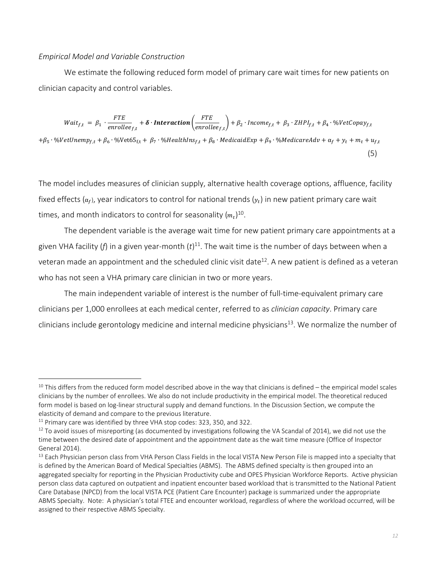### *Empirical Model and Variable Construction*

We estimate the following reduced form model of primary care wait times for new patients on clinician capacity and control variables.

 $Wait_{f,t} = \beta_1 \cdot \frac{FTE}{enrollee_{f,t}} + \delta \cdot \text{Interaction}\left(\frac{FTE}{enrollee_{f,t}}\right) + \beta_2 \cdot Income_{f,t} + \beta_3 \cdot ZHPI_{f,t} + \beta_4 \cdot \%VectCopy_{f,t}$ + $\beta_5 \cdot$ %VetUnemp<sub>f,t</sub> +  $\beta_6 \cdot$ %Vet65<sub>f,t</sub> +  $\beta_7 \cdot$ %HealthIns<sub>f,t</sub> +  $\beta_8 \cdot$ MedicaidExp +  $\beta_9 \cdot$ %MedicareAdv +  $\alpha_f + y_t + m_t + u_{f,t}$ (5)

The model includes measures of clinician supply, alternative health coverage options, affluence, facility fixed effects ( $\alpha_f$ ), year indicators to control for national trends ( $y_t$ ) in new patient primary care wait times, and month indicators to control for seasonality  $({m_t})^{10}$ .

The dependent variable is the average wait time for new patient primary care appointments at a given VHA facility (*f*) in a given year‐month (*t*) 11. The wait time is the number of days between when a veteran made an appointment and the scheduled clinic visit date<sup>12</sup>. A new patient is defined as a veteran who has not seen a VHA primary care clinician in two or more years.

The main independent variable of interest is the number of full-time-equivalent primary care clinicians per 1,000 enrollees at each medical center, referred to as *clinician capacity*. Primary care clinicians include gerontology medicine and internal medicine physicians<sup>13</sup>. We normalize the number of

 $10$  This differs from the reduced form model described above in the way that clinicians is defined – the empirical model scales clinicians by the number of enrollees. We also do not include productivity in the empirical model. The theoretical reduced form model is based on log‐linear structural supply and demand functions. In the Discussion Section, we compute the elasticity of demand and compare to the previous literature.

<sup>&</sup>lt;sup>11</sup> Primary care was identified by three VHA stop codes: 323, 350, and 322.

 $12$  To avoid issues of misreporting (as documented by investigations following the VA Scandal of 2014), we did not use the time between the desired date of appointment and the appointment date as the wait time measure (Office of Inspector General 2014).

<sup>&</sup>lt;sup>13</sup> Each Physician person class from VHA Person Class Fields in the local VISTA New Person File is mapped into a specialty that is defined by the American Board of Medical Specialties (ABMS). The ABMS defined specialty is then grouped into an aggregated specialty for reporting in the Physician Productivity cube and OPES Physician Workforce Reports. Active physician person class data captured on outpatient and inpatient encounter based workload that is transmitted to the National Patient Care Database (NPCD) from the local VISTA PCE (Patient Care Encounter) package is summarized under the appropriate ABMS Specialty. Note: A physician's total FTEE and encounter workload, regardless of where the workload occurred, will be assigned to their respective ABMS Specialty.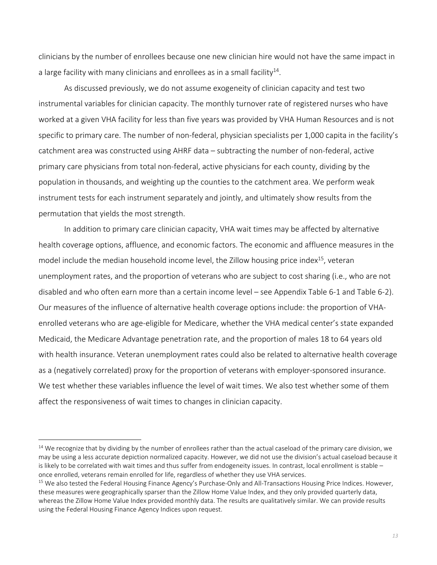clinicians by the number of enrollees because one new clinician hire would not have the same impact in a large facility with many clinicians and enrollees as in a small facility<sup>14</sup>.

As discussed previously, we do not assume exogeneity of clinician capacity and test two instrumental variables for clinician capacity. The monthly turnover rate of registered nurses who have worked at a given VHA facility for less than five years was provided by VHA Human Resources and is not specific to primary care. The number of non-federal, physician specialists per 1,000 capita in the facility's catchment area was constructed using AHRF data – subtracting the number of non‐federal, active primary care physicians from total non-federal, active physicians for each county, dividing by the population in thousands, and weighting up the counties to the catchment area. We perform weak instrument tests for each instrument separately and jointly, and ultimately show results from the permutation that yields the most strength.

In addition to primary care clinician capacity, VHA wait times may be affected by alternative health coverage options, affluence, and economic factors. The economic and affluence measures in the model include the median household income level, the Zillow housing price index<sup>15</sup>, veteran unemployment rates, and the proportion of veterans who are subject to cost sharing (i.e., who are not disabled and who often earn more than a certain income level – see Appendix Table 6‐1 and Table 6‐2). Our measures of the influence of alternative health coverage options include: the proportion of VHA‐ enrolled veterans who are age-eligible for Medicare, whether the VHA medical center's state expanded Medicaid, the Medicare Advantage penetration rate, and the proportion of males 18 to 64 years old with health insurance. Veteran unemployment rates could also be related to alternative health coverage as a (negatively correlated) proxy for the proportion of veterans with employer-sponsored insurance. We test whether these variables influence the level of wait times. We also test whether some of them affect the responsiveness of wait times to changes in clinician capacity.

 $14$  We recognize that by dividing by the number of enrollees rather than the actual caseload of the primary care division, we may be using a less accurate depiction normalized capacity. However, we did not use the division's actual caseload because it is likely to be correlated with wait times and thus suffer from endogeneity issues. In contrast, local enrollment is stable – once enrolled, veterans remain enrolled for life, regardless of whether they use VHA services.

<sup>&</sup>lt;sup>15</sup> We also tested the Federal Housing Finance Agency's Purchase-Only and All-Transactions Housing Price Indices. However, these measures were geographically sparser than the Zillow Home Value Index, and they only provided quarterly data, whereas the Zillow Home Value Index provided monthly data. The results are qualitatively similar. We can provide results using the Federal Housing Finance Agency Indices upon request.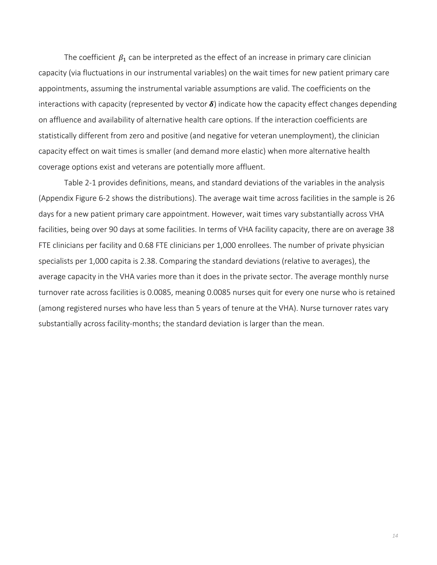The coefficient  $\beta_1$  can be interpreted as the effect of an increase in primary care clinician capacity (via fluctuations in our instrumental variables) on the wait times for new patient primary care appointments, assuming the instrumental variable assumptions are valid. The coefficients on the interactions with capacity (represented by vector  $\delta$ ) indicate how the capacity effect changes depending on affluence and availability of alternative health care options. If the interaction coefficients are statistically different from zero and positive (and negative for veteran unemployment), the clinician capacity effect on wait times is smaller (and demand more elastic) when more alternative health coverage options exist and veterans are potentially more affluent.

Table 2‐1 provides definitions, means, and standard deviations of the variables in the analysis (Appendix Figure 6‐2 shows the distributions). The average wait time across facilities in the sample is 26 days for a new patient primary care appointment. However, wait times vary substantially across VHA facilities, being over 90 days at some facilities. In terms of VHA facility capacity, there are on average 38 FTE clinicians per facility and 0.68 FTE clinicians per 1,000 enrollees. The number of private physician specialists per 1,000 capita is 2.38. Comparing the standard deviations (relative to averages), the average capacity in the VHA varies more than it does in the private sector. The average monthly nurse turnover rate across facilities is 0.0085, meaning 0.0085 nurses quit for every one nurse who is retained (among registered nurses who have less than 5 years of tenure at the VHA). Nurse turnover rates vary substantially across facility‐months; the standard deviation is larger than the mean.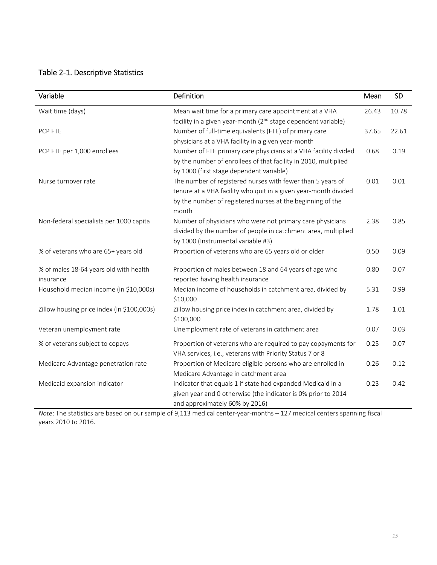# Table 2‐1. Descriptive Statistics

| Variable                                   | Definition                                                                | Mean  | <b>SD</b> |
|--------------------------------------------|---------------------------------------------------------------------------|-------|-----------|
| Wait time (days)                           | Mean wait time for a primary care appointment at a VHA                    | 26.43 | 10.78     |
|                                            | facility in a given year-month (2 <sup>nd</sup> stage dependent variable) |       |           |
| PCP FTE                                    | Number of full-time equivalents (FTE) of primary care                     | 37.65 | 22.61     |
|                                            | physicians at a VHA facility in a given year-month                        |       |           |
| PCP FTE per 1,000 enrollees                | Number of FTE primary care physicians at a VHA facility divided           | 0.68  | 0.19      |
|                                            | by the number of enrollees of that facility in 2010, multiplied           |       |           |
|                                            | by 1000 (first stage dependent variable)                                  |       |           |
| Nurse turnover rate                        | The number of registered nurses with fewer than 5 years of                | 0.01  | 0.01      |
|                                            | tenure at a VHA facility who quit in a given year-month divided           |       |           |
|                                            | by the number of registered nurses at the beginning of the                |       |           |
|                                            | month                                                                     |       |           |
| Non-federal specialists per 1000 capita    | Number of physicians who were not primary care physicians                 | 2.38  | 0.85      |
|                                            | divided by the number of people in catchment area, multiplied             |       |           |
|                                            | by 1000 (Instrumental variable #3)                                        |       |           |
| % of veterans who are 65+ years old        | Proportion of veterans who are 65 years old or older                      | 0.50  | 0.09      |
| % of males 18-64 years old with health     | Proportion of males between 18 and 64 years of age who                    | 0.80  | 0.07      |
| insurance                                  | reported having health insurance                                          |       |           |
| Household median income (in \$10,000s)     | Median income of households in catchment area, divided by                 | 5.31  | 0.99      |
|                                            | \$10,000                                                                  |       |           |
| Zillow housing price index (in \$100,000s) | Zillow housing price index in catchment area, divided by                  | 1.78  | 1.01      |
|                                            | \$100,000                                                                 |       |           |
| Veteran unemployment rate                  | Unemployment rate of veterans in catchment area                           | 0.07  | 0.03      |
| % of veterans subject to copays            | Proportion of veterans who are required to pay copayments for             | 0.25  | 0.07      |
|                                            | VHA services, i.e., veterans with Priority Status 7 or 8                  |       |           |
| Medicare Advantage penetration rate        | Proportion of Medicare eligible persons who are enrolled in               | 0.26  | 0.12      |
|                                            | Medicare Advantage in catchment area                                      |       |           |
| Medicaid expansion indicator               | Indicator that equals 1 if state had expanded Medicaid in a               | 0.23  | 0.42      |
|                                            | given year and 0 otherwise (the indicator is 0% prior to 2014             |       |           |
|                                            | and approximately 60% by 2016)                                            |       |           |

*Note*: The statistics are based on our sample of 9,113 medical center-year-months – 127 medical centers spanning fiscal years 2010 to 2016.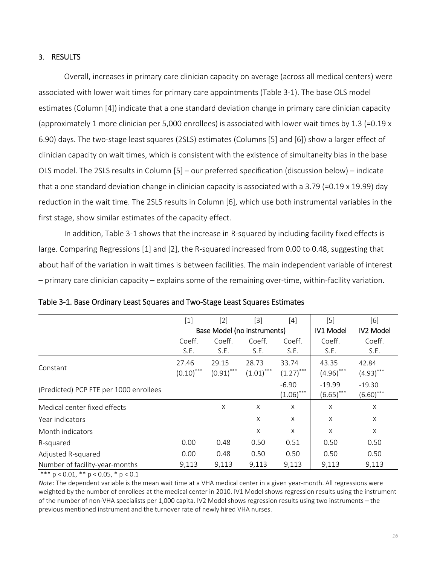### 3. RESULTS

Overall, increases in primary care clinician capacity on average (across all medical centers) were associated with lower wait times for primary care appointments (Table 3‐1). The base OLS model estimates (Column [4]) indicate that a one standard deviation change in primary care clinician capacity (approximately 1 more clinician per 5,000 enrollees) is associated with lower wait times by 1.3 (=0.19 x 6.90) days. The two‐stage least squares (2SLS) estimates (Columns [5] and [6]) show a larger effect of clinician capacity on wait times, which is consistent with the existence of simultaneity bias in the base OLS model. The 2SLS results in Column [5] – our preferred specification (discussion below) – indicate that a one standard deviation change in clinician capacity is associated with a 3.79 (=0.19 x 19.99) day reduction in the wait time. The 2SLS results in Column [6], which use both instrumental variables in the first stage, show similar estimates of the capacity effect.

In addition, Table 3‐1 shows that the increase in R‐squared by including facility fixed effects is large. Comparing Regressions [1] and [2], the R‐squared increased from 0.00 to 0.48, suggesting that about half of the variation in wait times is between facilities. The main independent variable of interest – primary care clinician capacity – explains some of the remaining over‐time, within‐facility variation.

|                                        | $\lceil 1 \rceil$     | [2]                         | $[3]$                 | [4]                     | [5]                      | [6]                      |
|----------------------------------------|-----------------------|-----------------------------|-----------------------|-------------------------|--------------------------|--------------------------|
|                                        |                       | Base Model (no instruments) | IV1 Model             | <b>IV2 Model</b>        |                          |                          |
|                                        | Coeff.                | Coeff.                      | Coeff.                | Coeff.                  | Coeff.                   | Coeff.                   |
|                                        | S.E.                  | S.E.                        | S.E.                  | S.E.                    | S.E.                     | S.E.                     |
| Constant                               | 27.46<br>$(0.10)$ *** | 29.15<br>$(0.91)$ ***       | 28.73<br>$(1.01)$ *** | 33.74<br>$(1.27)$ ***   | 43.35<br>$(4.96)$ ***    | 42.84<br>$(4.93)$ ***    |
| (Predicted) PCP FTE per 1000 enrollees |                       |                             |                       | $-6.90$<br>$(1.06)$ *** | $-19.99$<br>$(6.65)$ *** | $-19.30$<br>$(6.60)$ *** |
| Medical center fixed effects           |                       | $\times$                    | $\times$              | X                       | X                        | X                        |
| Year indicators                        |                       |                             | X                     | X                       | X                        | X                        |
| Month indicators                       |                       |                             | X                     | $\times$                | X                        | X                        |
| R-squared                              | 0.00                  | 0.48                        | 0.50                  | 0.51                    | 0.50                     | 0.50                     |
| Adjusted R-squared                     | 0.00                  | 0.48                        | 0.50                  | 0.50                    | 0.50                     | 0.50                     |
| Number of facility-year-months         | 9,113                 | 9,113                       | 9,113                 | 9,113                   | 9,113                    | 9,113                    |

|  |  |  | Table 3-1. Base Ordinary Least Squares and Two-Stage Least Squares Estimates |
|--|--|--|------------------------------------------------------------------------------|
|--|--|--|------------------------------------------------------------------------------|

\*\*\*  $p < 0.01$ , \*\*  $p < 0.05$ , \*  $p < 0.1$ 

*Note*: The dependent variable is the mean wait time at a VHA medical center in a given year-month. All regressions were weighted by the number of enrollees at the medical center in 2010. IV1 Model shows regression results using the instrument of the number of non‐VHA specialists per 1,000 capita. IV2 Model shows regression results using two instruments – the previous mentioned instrument and the turnover rate of newly hired VHA nurses.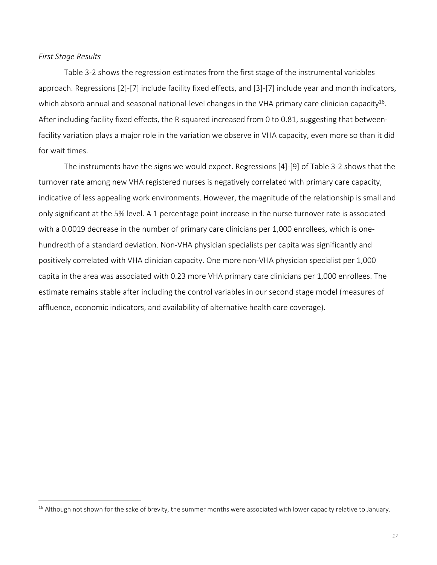#### *First Stage Results*

 Table 3‐2 shows the regression estimates from the first stage of the instrumental variables approach. Regressions [2]‐[7] include facility fixed effects, and [3]‐[7] include year and month indicators, which absorb annual and seasonal national-level changes in the VHA primary care clinician capacity<sup>16</sup>. After including facility fixed effects, the R‐squared increased from 0 to 0.81, suggesting that between‐ facility variation plays a major role in the variation we observe in VHA capacity, even more so than it did for wait times.

The instruments have the signs we would expect. Regressions [4]‐[9] of Table 3‐2 shows that the turnover rate among new VHA registered nurses is negatively correlated with primary care capacity, indicative of less appealing work environments. However, the magnitude of the relationship is small and only significant at the 5% level. A 1 percentage point increase in the nurse turnover rate is associated with a 0.0019 decrease in the number of primary care clinicians per 1,000 enrollees, which is one‐ hundredth of a standard deviation. Non‐VHA physician specialists per capita was significantly and positively correlated with VHA clinician capacity. One more non‐VHA physician specialist per 1,000 capita in the area was associated with 0.23 more VHA primary care clinicians per 1,000 enrollees. The estimate remains stable after including the control variables in our second stage model (measures of affluence, economic indicators, and availability of alternative health care coverage).

 $16$  Although not shown for the sake of brevity, the summer months were associated with lower capacity relative to January.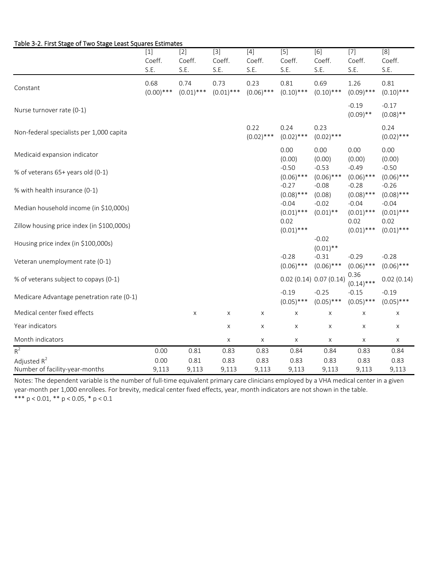|                                                  | $[1]$                | $[2]$                | $\boxed{3}$          | $[4]$                | $\overline{[5]}$        | [6]                         | $\boxed{7}$             | $\overline{8}$          |
|--------------------------------------------------|----------------------|----------------------|----------------------|----------------------|-------------------------|-----------------------------|-------------------------|-------------------------|
|                                                  | Coeff.               | Coeff.               | Coeff.               | Coeff.               | Coeff.                  | Coeff.                      | Coeff.                  | Coeff.                  |
|                                                  | S.E.                 | S.E.                 | S.E.                 | S.E.                 | S.E.                    | S.E.                        | S.E.                    | S.E.                    |
| Constant                                         | 0.68<br>$(0.00)$ *** | 0.74<br>$(0.01)$ *** | 0.73<br>$(0.01)$ *** | 0.23<br>$(0.06)$ *** | 0.81<br>$(0.10)$ ***    | 0.69<br>$(0.10)$ ***        | 1.26<br>$(0.09)$ ***    | 0.81<br>$(0.10)$ ***    |
| Nurse turnover rate (0-1)                        |                      |                      |                      |                      |                         |                             | $-0.19$<br>$(0.09)$ **  | $-0.17$<br>$(0.08)$ **  |
| Non-federal specialists per 1,000 capita         |                      |                      |                      | 0.22<br>$(0.02)$ *** | 0.24<br>$(0.02)$ ***    | 0.23<br>$(0.02)$ ***        |                         | 0.24<br>$(0.02)$ ***    |
| Medicaid expansion indicator                     |                      |                      |                      |                      | 0.00<br>(0.00)          | 0.00<br>(0.00)              | 0.00<br>(0.00)          | 0.00<br>(0.00)          |
| % of veterans 65+ years old (0-1)                |                      |                      |                      |                      | $-0.50$<br>$(0.06)$ *** | $-0.53$<br>$(0.06)$ ***     | $-0.49$<br>$(0.06)$ *** | $-0.50$<br>$(0.06)$ *** |
| % with health insurance (0-1)                    |                      |                      |                      |                      | $-0.27$<br>$(0.08)$ *** | $-0.08$<br>(0.08)           | $-0.28$<br>$(0.08)$ *** | $-0.26$<br>$(0.08)$ *** |
| Median household income (in \$10,000s)           |                      |                      |                      |                      | $-0.04$<br>$(0.01)$ *** | $-0.02$<br>$(0.01)$ **      | $-0.04$<br>$(0.01)$ *** | $-0.04$<br>$(0.01)$ *** |
| Zillow housing price index (in \$100,000s)       |                      |                      |                      |                      | 0.02<br>$(0.01)$ ***    |                             | 0.02<br>$(0.01)$ ***    | 0.02<br>$(0.01)$ ***    |
| Housing price index (in \$100,000s)              |                      |                      |                      |                      |                         | $-0.02$<br>$(0.01)$ **      |                         |                         |
| Veteran unemployment rate (0-1)                  |                      |                      |                      |                      | $-0.28$<br>$(0.06)$ *** | $-0.31$<br>$(0.06)$ ***     | $-0.29$<br>$(0.06)$ *** | $-0.28$<br>$(0.06)$ *** |
| % of veterans subject to copays (0-1)            |                      |                      |                      |                      |                         | $0.02$ (0.14) $0.07$ (0.14) | 0.36<br>$(0.14)$ ***    | 0.02(0.14)              |
| Medicare Advantage penetration rate (0-1)        |                      |                      |                      |                      | $-0.19$<br>$(0.05)$ *** | $-0.25$<br>$(0.05)$ ***     | $-0.15$<br>$(0.05)$ *** | $-0.19$<br>$(0.05)$ *** |
| Medical center fixed effects                     |                      | X                    | X                    | X                    | X                       | X                           | X                       | Х                       |
| Year indicators                                  |                      |                      | X                    | Χ                    | X                       | X                           | $\mathsf X$             | X                       |
| Month indicators                                 |                      |                      | X                    | X                    | X                       | X                           | X                       | X                       |
| $R^2$                                            | 0.00                 | 0.81                 | 0.83                 | 0.83                 | 0.84                    | 0.84                        | 0.83                    | 0.84                    |
| Adjusted $R^2$<br>Number of facility-year-months | 0.00<br>9,113        | 0.81<br>9,113        | 0.83<br>9,113        | 0.83<br>9,113        | 0.83<br>9,113           | 0.83<br>9,113               | 0.83<br>9,113           | 0.83<br>9,113           |

#### Table 3‐2. First Stage of Two Stage Least Squares Estimates

\*\*\*  $p < 0.01$ , \*\*  $p < 0.05$ , \*  $p < 0.1$ Notes: The dependent variable is the number of full‐time equivalent primary care clinicians employed by a VHA medical center in a given year-month per 1,000 enrollees. For brevity, medical center fixed effects, year, month indicators are not shown in the table.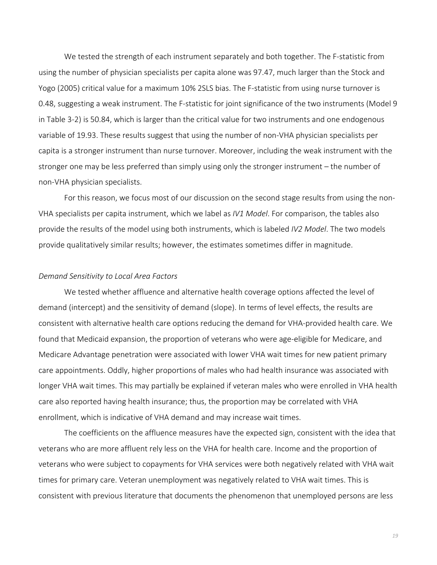We tested the strength of each instrument separately and both together. The F-statistic from using the number of physician specialists per capita alone was 97.47, much larger than the Stock and Yogo (2005) critical value for a maximum 10% 2SLS bias. The F‐statistic from using nurse turnover is 0.48, suggesting a weak instrument. The F-statistic for joint significance of the two instruments (Model 9 in Table 3‐2) is 50.84, which is larger than the critical value for two instruments and one endogenous variable of 19.93. These results suggest that using the number of non‐VHA physician specialists per capita is a stronger instrument than nurse turnover. Moreover, including the weak instrument with the stronger one may be less preferred than simply using only the stronger instrument – the number of non‐VHA physician specialists.

For this reason, we focus most of our discussion on the second stage results from using the non‐ VHA specialists per capita instrument, which we label as *IV1 Model*. For comparison, the tables also provide the results of the model using both instruments, which is labeled *IV2 Model*. The two models provide qualitatively similar results; however, the estimates sometimes differ in magnitude.

### *Demand Sensitivity to Local Area Factors*

We tested whether affluence and alternative health coverage options affected the level of demand (intercept) and the sensitivity of demand (slope). In terms of level effects, the results are consistent with alternative health care options reducing the demand for VHA‐provided health care. We found that Medicaid expansion, the proportion of veterans who were age‐eligible for Medicare, and Medicare Advantage penetration were associated with lower VHA wait times for new patient primary care appointments. Oddly, higher proportions of males who had health insurance was associated with longer VHA wait times. This may partially be explained if veteran males who were enrolled in VHA health care also reported having health insurance; thus, the proportion may be correlated with VHA enrollment, which is indicative of VHA demand and may increase wait times.

The coefficients on the affluence measures have the expected sign, consistent with the idea that veterans who are more affluent rely less on the VHA for health care. Income and the proportion of veterans who were subject to copayments for VHA services were both negatively related with VHA wait times for primary care. Veteran unemployment was negatively related to VHA wait times. This is consistent with previous literature that documents the phenomenon that unemployed persons are less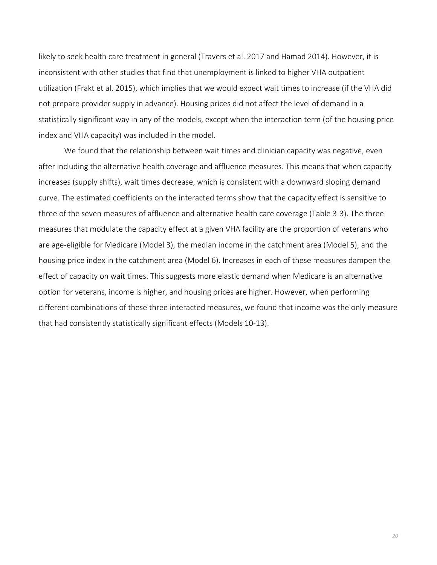likely to seek health care treatment in general (Travers et al. 2017 and Hamad 2014). However, it is inconsistent with other studies that find that unemployment is linked to higher VHA outpatient utilization (Frakt et al. 2015), which implies that we would expect wait times to increase (if the VHA did not prepare provider supply in advance). Housing prices did not affect the level of demand in a statistically significant way in any of the models, except when the interaction term (of the housing price index and VHA capacity) was included in the model.

We found that the relationship between wait times and clinician capacity was negative, even after including the alternative health coverage and affluence measures. This means that when capacity increases (supply shifts), wait times decrease, which is consistent with a downward sloping demand curve. The estimated coefficients on the interacted terms show that the capacity effect is sensitive to three of the seven measures of affluence and alternative health care coverage (Table 3‐3). The three measures that modulate the capacity effect at a given VHA facility are the proportion of veterans who are age‐eligible for Medicare (Model 3), the median income in the catchment area (Model 5), and the housing price index in the catchment area (Model 6). Increases in each of these measures dampen the effect of capacity on wait times. This suggests more elastic demand when Medicare is an alternative option for veterans, income is higher, and housing prices are higher. However, when performing different combinations of these three interacted measures, we found that income was the only measure that had consistently statistically significant effects (Models 10‐13).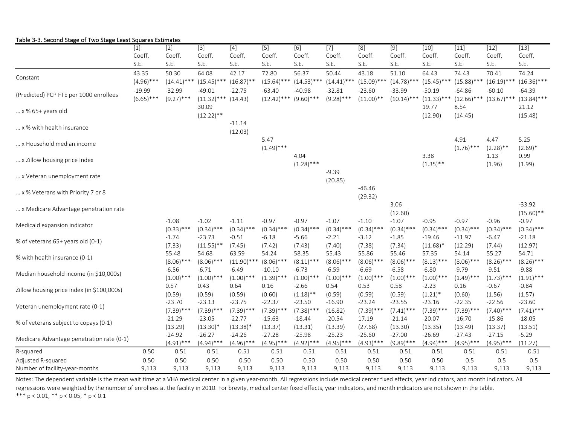| able 5-5. Second Stage of TWO Stage Ecast Squares Estimate. |              |               |               |               |                  |               |              |                  |               |               |               |               |                   |
|-------------------------------------------------------------|--------------|---------------|---------------|---------------|------------------|---------------|--------------|------------------|---------------|---------------|---------------|---------------|-------------------|
|                                                             | $[1]$        | $[2]$         | $\boxed{3}$   | $\boxed{4}$   | $\overline{[5]}$ | [6]           | $\boxed{7}$  | $\overline{[8]}$ | $\boxed{9}$   | $[10]$        | $\boxed{11}$  | $[12]$        | $\overline{[13]}$ |
|                                                             | Coeff.       | Coeff.        | Coeff.        | Coeff.        | Coeff.           | Coeff.        | Coeff.       | Coeff.           | Coeff.        | Coeff.        | Coeff.        | Coeff.        | Coeff.            |
|                                                             | S.E.         | S.E.          | S.E.          | S.E.          | S.E.             | S.E.          | S.E.         | S.E.             | S.E.          | S.E.          | S.E.          | S.E.          | S.E.              |
| Constant                                                    | 43.35        | 50.30         | 64.08         | 42.17         | 72.80            | 56.37         | 50.44        | 43.18            | 51.10         | 64.43         | 74.43         | 70.41         | 74.24             |
|                                                             | $(4.96)$ *** | $(14.41)$ *** | $(15.45)$ **  | $(16.87)$ **  | $(15.64)$ ***    | $(14.53)$ *** | $(14.41)$ ** | $(15.09)$ ***    | $(14.78)$ *** | $(15.45)$ *** | $(15.88)$ **  | $(16.19)$ *** | $(16.36)$ ***     |
|                                                             | $-19.99$     | $-32.99$      | $-49.01$      | -22.75        | $-63.40$         | $-40.98$      | $-32.81$     | $-23.60$         | $-33.99$      | $-50.19$      | $-64.86$      | $-60.10$      | $-64.39$          |
| (Predicted) PCP FTE per 1000 enrollees                      | $(6.65)$ *** | $(9.27)$ ***  | $(11.32)$ *** | (14.43)       | $(12.42)$ ***    | $(9.60)$ ***  | $(9.28)$ *** | $(11.00)**$      | $(10.14)$ *** | $(11.33)***$  | $(12.66)$ *** | $(13.67)$ *** | $(13.84)$ ***     |
|                                                             |              |               | 30.09         |               |                  |               |              |                  |               | 19.77         | 8.54          |               | 21.12             |
| $ x \% 65+ years$ old                                       |              |               | $(12.22)$ **  |               |                  |               |              |                  |               | (12.90)       | (14.45)       |               | (15.48)           |
|                                                             |              |               |               | $-11.14$      |                  |               |              |                  |               |               |               |               |                   |
| x % with health insurance                                   |              |               |               | (12.03)       |                  |               |              |                  |               |               |               |               |                   |
|                                                             |              |               |               |               | 5.47             |               |              |                  |               |               | 4.91          | 4.47          | 5.25              |
| x Household median income                                   |              |               |               |               | $(1.49)$ ***     |               |              |                  |               |               | $(1.76)$ ***  | $(2.28)$ **   | $(2.69)*$         |
|                                                             |              |               |               |               |                  | 4.04          |              |                  |               | 3.38          |               | 1.13          | 0.99              |
| x Zillow housing price Index                                |              |               |               |               |                  | $(1.28)$ ***  |              |                  |               | $(1.35)$ **   |               | (1.96)        | (1.99)            |
|                                                             |              |               |               |               |                  |               | $-9.39$      |                  |               |               |               |               |                   |
| x Veteran unemployment rate                                 |              |               |               |               |                  |               | (20.85)      |                  |               |               |               |               |                   |
|                                                             |              |               |               |               |                  |               |              | $-46.46$         |               |               |               |               |                   |
| x % Veterans with Priority 7 or 8                           |              |               |               |               |                  |               |              | (29.32)          |               |               |               |               |                   |
|                                                             |              |               |               |               |                  |               |              |                  | 3.06          |               |               |               | $-33.92$          |
| x Medicare Advantage penetration rate                       |              |               |               |               |                  |               |              |                  | (12.60)       |               |               |               | $(15.60)$ **      |
|                                                             |              | $-1.08$       | $-1.02$       | $-1.11$       | $-0.97$          | $-0.97$       | $-1.07$      | $-1.10$          | $-1.07$       | $-0.95$       | $-0.97$       | $-0.96$       | $-0.97$           |
| Medicaid expansion indicator                                |              | $(0.33)$ ***  | $(0.34)$ ***  | $(0.34)$ ***  | $(0.34)$ ***     | $(0.34)$ ***  | $(0.34)$ *** | $(0.34)$ ***     | $(0.34)$ ***  | $(0.34)$ ***  | $(0.34)$ ***  | $(0.34)$ ***  | $(0.34)$ ***      |
|                                                             |              | $-1.74$       | $-23.73$      | $-0.51$       | $-6.18$          | $-5.66$       | $-2.21$      | $-3.12$          | $-1.85$       | $-19.46$      | $-11.97$      | $-6.47$       | $-21.18$          |
| % of veterans 65+ years old (0-1)                           |              | (7.33)        | $(11.55)$ **  | (7.45)        | (7.42)           | (7.43)        | (7.40)       | (7.38)           | (7.34)        | $(11.68)^*$   | (12.29)       | (7.44)        | (12.97)           |
|                                                             |              | 55.48         | 54.68         | 63.59         | 54.24            | 58.35         | 55.43        | 55.86            | 55.46         | 57.35         | 54.14         | 55.27         | 54.71             |
| % with health insurance (0-1)                               |              | $(8.06)$ ***  | $(8.06)$ ***  | $(11.90)$ *** | $(8.06)$ ***     | $(8.11)$ ***  | $(8.06)$ *** | $(8.06)$ ***     | $(8.06)$ ***  | $(8.13)$ ***  | $(8.06)$ ***  | $(8.26)$ ***  | $(8.26)$ ***      |
|                                                             |              | $-6.56$       | $-6.71$       | $-6.49$       | $-10.10$         | $-6.73$       | $-6.59$      | $-6.69$          | $-6.58$       | $-6.80$       | $-9.79$       | $-9.51$       | $-9.88$           |
| Median household income (in \$10,000s)                      |              | $(1.00)$ ***  | $(1.00)$ ***  | $(1.00)$ ***  | $(1.39)$ ***     | $(1.00)$ ***  | $(1.00)$ *** | $(1.00)$ ***     | $(1.00)$ ***  | $(1.00)$ ***  | $(1.49)$ ***  | $(1.73)$ ***  | $(1.91)$ ***      |
|                                                             |              | 0.57          | 0.43          | 0.64          | 0.16             | $-2.66$       | 0.54         | 0.53             | 0.58          | $-2.23$       | 0.16          | $-0.67$       | $-0.84$           |
| Zillow housing price index (in \$100,000s)                  |              | (0.59)        | (0.59)        | (0.59)        | (0.60)           | $(1.18)$ **   | (0.59)       | (0.59)           | (0.59)        | $(1.21)^*$    | (0.60)        | (1.56)        | (1.57)            |
|                                                             |              | $-23.70$      | $-23.13$      | $-23.75$      | $-22.37$         | $-23.50$      | $-16.90$     | $-23.24$         | $-23.55$      | $-23.16$      | $-22.35$      | $-22.56$      | $-23.60$          |
| Veteran unemployment rate (0-1)                             |              | $(7.39)$ ***  | $(7.39)$ ***  | $(7.39)$ ***  | $(7.39)$ ***     | $(7.38)$ ***  | (16.82)      | $(7.39)$ ***     | $(7.41)$ ***  | $(7.39)$ ***  | $(7.39)$ ***  | $(7.40)$ ***  | $(7.41)$ ***      |
|                                                             |              | $-21.29$      | $-23.05$      | $-22.77$      | $-15.63$         | $-18.44$      | $-20.54$     | 17.19            | $-21.14$      | $-20.07$      | $-16.70$      | $-15.86$      | $-18.05$          |
| % of veterans subject to copays (0-1)                       |              | (13.29)       | $(13.30)^*$   | $(13.38)^*$   | (13.37)          | (13.31)       | (13.39)      | (27.68)          | (13.30)       | (13.35)       | (13.49)       | (13.37)       | (13.51)           |
|                                                             |              | $-24.92$      | $-26.27$      | $-24.26$      | $-27.28$         | $-25.98$      | $-25.23$     | $-25.60$         | $-27.00$      | $-26.69$      | $-27.43$      | $-27.15$      | $-5.29$           |
| Medicare Advantage penetration rate (0-1)                   |              | $(4.91)$ ***  | $(4.94)$ ***  | $(4.96)$ ***  | $(4.95)$ ***     | $(4.92)$ ***  | $(4.95)$ *** | $(4.93)$ ***     | $(9.89)$ ***  | $(4.94)$ ***  | $(4.95)$ ***  | $(4.95)$ ***  | (11.27)           |
| R-squared                                                   | 0.50         | 0.51          | 0.51          | 0.51          | 0.51             | 0.51          | 0.51         | 0.51             | 0.51          | 0.51          | 0.51          | 0.51          | 0.51              |
| Adjusted R-squared                                          | 0.50         | 0.50          | 0.50          | 0.50          | 0.50             | 0.50          | 0.50         | 0.50             | 0.50          | 0.50          | 0.5           | 0.5           | 0.5               |
| Number of facility-year-months                              | 9,113        | 9,113         | 9,113         | 9,113         | 9,113            | 9,113         | 9,113        | 9,113            | 9,113         | 9,113         | 9,113         | 9,113         | 9,113             |

### Table 3‐3. Second Stage of Two Stage Least Squares Estimates

\*\*\*  $p < 0.01$ , \*\*  $p < 0.05$ , \*  $p < 0.1$ Notes: The dependent variable is the mean wait time at a VHA medical center in a given year-month. All regressions include medical center fixed effects, year indicators, and month indicators. All regressions were weighted by the number of enrollees at the facility in 2010. For brevity, medical center fixed effects, year indicators, and month indicators are not shown in the table.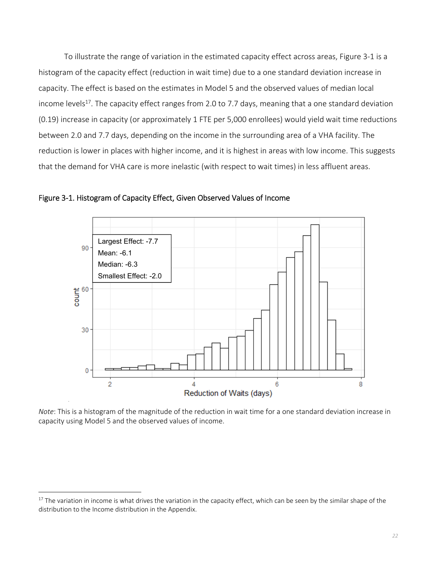To illustrate the range of variation in the estimated capacity effect across areas, Figure 3‐1 is a histogram of the capacity effect (reduction in wait time) due to a one standard deviation increase in capacity. The effect is based on the estimates in Model 5 and the observed values of median local income levels<sup>17</sup>. The capacity effect ranges from 2.0 to 7.7 days, meaning that a one standard deviation (0.19) increase in capacity (or approximately 1 FTE per 5,000 enrollees) would yield wait time reductions between 2.0 and 7.7 days, depending on the income in the surrounding area of a VHA facility. The reduction is lower in places with higher income, and it is highest in areas with low income. This suggests that the demand for VHA care is more inelastic (with respect to wait times) in less affluent areas.



Figure 3‐1. Histogram of Capacity Effect, Given Observed Values of Income

*Note*: This is a histogram of the magnitude of the reduction in wait time for a one standard deviation increase in capacity using Model 5 and the observed values of income.

<sup>&</sup>lt;sup>17</sup> The variation in income is what drives the variation in the capacity effect, which can be seen by the similar shape of the distribution to the Income distribution in the Appendix.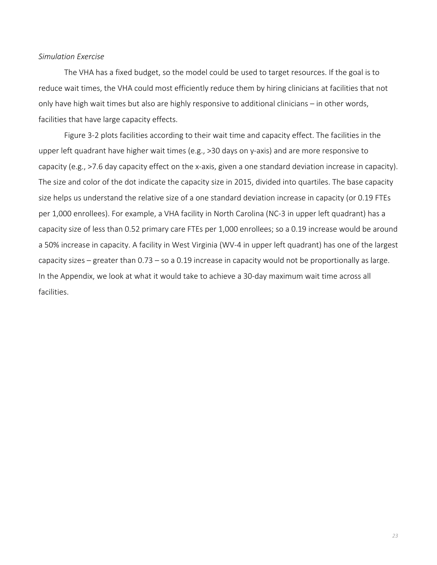### *Simulation Exercise*

The VHA has a fixed budget, so the model could be used to target resources. If the goal is to reduce wait times, the VHA could most efficiently reduce them by hiring clinicians at facilities that not only have high wait times but also are highly responsive to additional clinicians – in other words, facilities that have large capacity effects.

Figure 3‐2 plots facilities according to their wait time and capacity effect. The facilities in the upper left quadrant have higher wait times (e.g., >30 days on y-axis) and are more responsive to capacity (e.g., >7.6 day capacity effect on the x‐axis, given a one standard deviation increase in capacity). The size and color of the dot indicate the capacity size in 2015, divided into quartiles. The base capacity size helps us understand the relative size of a one standard deviation increase in capacity (or 0.19 FTEs per 1,000 enrollees). For example, a VHA facility in North Carolina (NC‐3 in upper left quadrant) has a capacity size of less than 0.52 primary care FTEs per 1,000 enrollees; so a 0.19 increase would be around a 50% increase in capacity. A facility in West Virginia (WV‐4 in upper left quadrant) has one of the largest capacity sizes – greater than 0.73 – so a 0.19 increase in capacity would not be proportionally as large. In the Appendix, we look at what it would take to achieve a 30‐day maximum wait time across all facilities.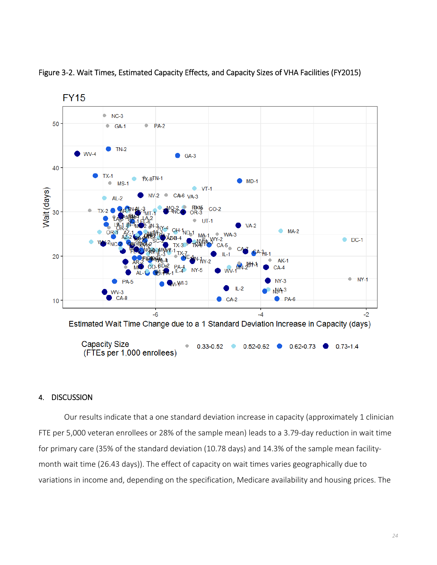

Figure 3‐2. Wait Times, Estimated Capacity Effects, and Capacity Sizes of VHA Facilities (FY2015)

# 4. DISCUSSION

Our results indicate that a one standard deviation increase in capacity (approximately 1 clinician FTE per 5,000 veteran enrollees or 28% of the sample mean) leads to a 3.79‐day reduction in wait time for primary care (35% of the standard deviation (10.78 days) and 14.3% of the sample mean facility‐ month wait time (26.43 days)). The effect of capacity on wait times varies geographically due to variations in income and, depending on the specification, Medicare availability and housing prices. The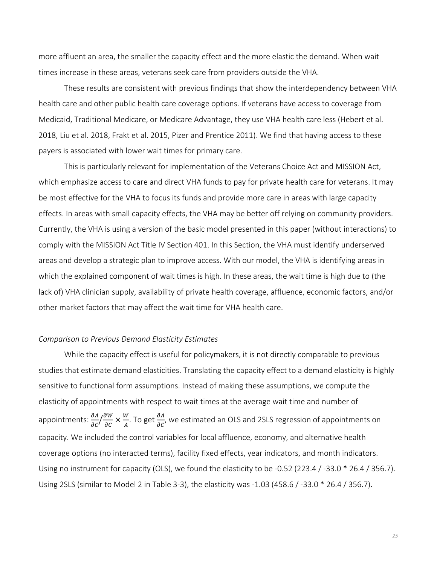more affluent an area, the smaller the capacity effect and the more elastic the demand. When wait times increase in these areas, veterans seek care from providers outside the VHA.

These results are consistent with previous findings that show the interdependency between VHA health care and other public health care coverage options. If veterans have access to coverage from Medicaid, Traditional Medicare, or Medicare Advantage, they use VHA health care less (Hebert et al. 2018, Liu et al. 2018, Frakt et al. 2015, Pizer and Prentice 2011). We find that having access to these payers is associated with lower wait times for primary care.

This is particularly relevant for implementation of the Veterans Choice Act and MISSION Act, which emphasize access to care and direct VHA funds to pay for private health care for veterans. It may be most effective for the VHA to focus its funds and provide more care in areas with large capacity effects. In areas with small capacity effects, the VHA may be better off relying on community providers. Currently, the VHA is using a version of the basic model presented in this paper (without interactions) to comply with the MISSION Act Title IV Section 401. In this Section, the VHA must identify underserved areas and develop a strategic plan to improve access. With our model, the VHA is identifying areas in which the explained component of wait times is high. In these areas, the wait time is high due to (the lack of) VHA clinician supply, availability of private health coverage, affluence, economic factors, and/or other market factors that may affect the wait time for VHA health care.

### *Comparison to Previous Demand Elasticity Estimates*

While the capacity effect is useful for policymakers, it is not directly comparable to previous studies that estimate demand elasticities. Translating the capacity effect to a demand elasticity is highly sensitive to functional form assumptions. Instead of making these assumptions, we compute the elasticity of appointments with respect to wait times at the average wait time and number of appointments:  $\frac{\partial A}{\partial C}$  $\sqrt{\frac{\partial W}{\partial C}} \times \frac{W}{A}$ . To get  $\frac{\partial A}{\partial C}$ , we estimated an OLS and 2SLS regression of appointments on capacity. We included the control variables for local affluence, economy, and alternative health coverage options (no interacted terms), facility fixed effects, year indicators, and month indicators. Using no instrument for capacity (OLS), we found the elasticity to be ‐0.52 (223.4 / ‐33.0 \* 26.4 / 356.7). Using 2SLS (similar to Model 2 in Table 3‐3), the elasticity was ‐1.03 (458.6 / ‐33.0 \* 26.4 / 356.7).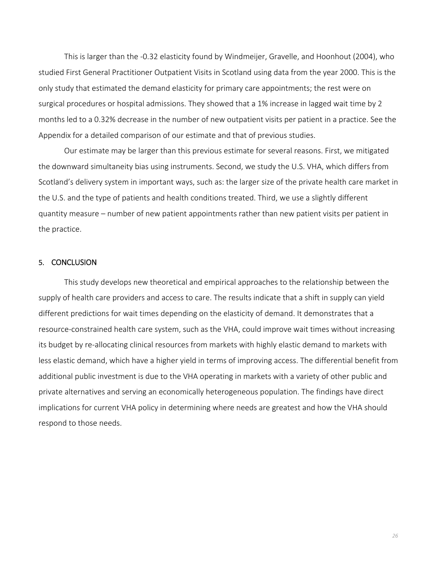This is larger than the ‐0.32 elasticity found by Windmeijer, Gravelle, and Hoonhout (2004), who studied First General Practitioner Outpatient Visits in Scotland using data from the year 2000. This is the only study that estimated the demand elasticity for primary care appointments; the rest were on surgical procedures or hospital admissions. They showed that a 1% increase in lagged wait time by 2 months led to a 0.32% decrease in the number of new outpatient visits per patient in a practice. See the Appendix for a detailed comparison of our estimate and that of previous studies.

Our estimate may be larger than this previous estimate for several reasons. First, we mitigated the downward simultaneity bias using instruments. Second, we study the U.S. VHA, which differs from Scotland's delivery system in important ways, such as: the larger size of the private health care market in the U.S. and the type of patients and health conditions treated. Third, we use a slightly different quantity measure – number of new patient appointments rather than new patient visits per patient in the practice.

### 5. CONCLUSION

This study develops new theoretical and empirical approaches to the relationship between the supply of health care providers and access to care. The results indicate that a shift in supply can yield different predictions for wait times depending on the elasticity of demand. It demonstrates that a resource-constrained health care system, such as the VHA, could improve wait times without increasing its budget by re-allocating clinical resources from markets with highly elastic demand to markets with less elastic demand, which have a higher yield in terms of improving access. The differential benefit from additional public investment is due to the VHA operating in markets with a variety of other public and private alternatives and serving an economically heterogeneous population. The findings have direct implications for current VHA policy in determining where needs are greatest and how the VHA should respond to those needs.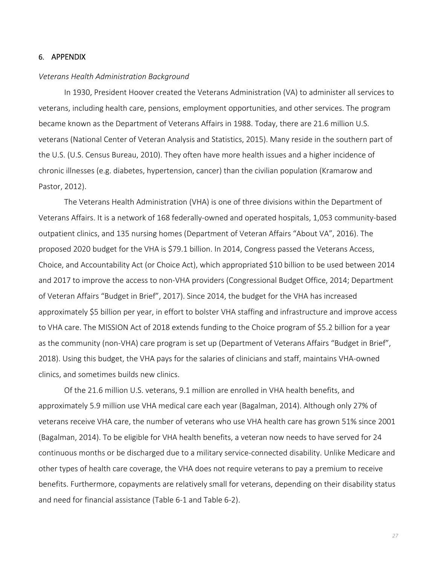### 6. APPENDIX

#### *Veterans Health Administration Background*

In 1930, President Hoover created the Veterans Administration (VA) to administer all services to veterans, including health care, pensions, employment opportunities, and other services. The program became known as the Department of Veterans Affairs in 1988. Today, there are 21.6 million U.S. veterans (National Center of Veteran Analysis and Statistics, 2015). Many reside in the southern part of the U.S. (U.S. Census Bureau, 2010). They often have more health issues and a higher incidence of chronic illnesses (e.g. diabetes, hypertension, cancer) than the civilian population (Kramarow and Pastor, 2012).

The Veterans Health Administration (VHA) is one of three divisions within the Department of Veterans Affairs. It is a network of 168 federally‐owned and operated hospitals, 1,053 community‐based outpatient clinics, and 135 nursing homes (Department of Veteran Affairs "About VA", 2016). The proposed 2020 budget for the VHA is \$79.1 billion. In 2014, Congress passed the Veterans Access, Choice, and Accountability Act (or Choice Act), which appropriated \$10 billion to be used between 2014 and 2017 to improve the access to non-VHA providers (Congressional Budget Office, 2014; Department of Veteran Affairs "Budget in Brief", 2017). Since 2014, the budget for the VHA has increased approximately \$5 billion per year, in effort to bolster VHA staffing and infrastructure and improve access to VHA care. The MISSION Act of 2018 extends funding to the Choice program of \$5.2 billion for a year as the community (non-VHA) care program is set up (Department of Veterans Affairs "Budget in Brief", 2018). Using this budget, the VHA pays for the salaries of clinicians and staff, maintains VHA‐owned clinics, and sometimes builds new clinics.

Of the 21.6 million U.S. veterans, 9.1 million are enrolled in VHA health benefits, and approximately 5.9 million use VHA medical care each year (Bagalman, 2014). Although only 27% of veterans receive VHA care, the number of veterans who use VHA health care has grown 51% since 2001 (Bagalman, 2014). To be eligible for VHA health benefits, a veteran now needs to have served for 24 continuous months or be discharged due to a military service‐connected disability. Unlike Medicare and other types of health care coverage, the VHA does not require veterans to pay a premium to receive benefits. Furthermore, copayments are relatively small for veterans, depending on their disability status and need for financial assistance (Table 6‐1 and Table 6‐2).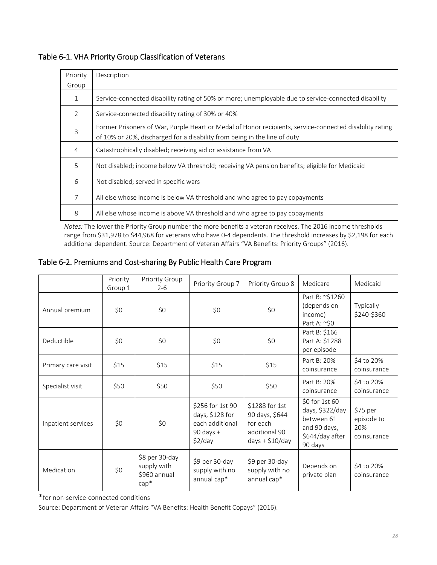| Priority       | Description                                                                                                                                                                          |
|----------------|--------------------------------------------------------------------------------------------------------------------------------------------------------------------------------------|
| Group          |                                                                                                                                                                                      |
| $\mathbf{1}$   | Service-connected disability rating of 50% or more; unemployable due to service-connected disability                                                                                 |
| $\overline{2}$ | Service-connected disability rating of 30% or 40%                                                                                                                                    |
| 3              | Former Prisoners of War, Purple Heart or Medal of Honor recipients, service-connected disability rating<br>of 10% or 20%, discharged for a disability from being in the line of duty |
| 4              | Catastrophically disabled; receiving aid or assistance from VA                                                                                                                       |
| 5              | Not disabled; income below VA threshold; receiving VA pension benefits; eligible for Medicaid                                                                                        |
| 6              | Not disabled; served in specific wars                                                                                                                                                |
| 7              | All else whose income is below VA threshold and who agree to pay copayments                                                                                                          |
| 8              | All else whose income is above VA threshold and who agree to pay copayments                                                                                                          |

# Table 6‐1. VHA Priority Group Classification of Veterans

*Notes:* The lower the Priority Group number the more benefits a veteran receives. The 2016 income thresholds range from \$31,978 to \$44,968 for veterans who have 0‐4 dependents. The threshold increases by \$2,198 for each additional dependent. Source: Department of Veteran Affairs "VA Benefits: Priority Groups" (2016).

# Table 6‐2. Premiums and Cost‐sharing By Public Health Care Program

|                    | Priority<br>Group 1 | Priority Group<br>$2 - 6$                                | Priority Group 7                                                                   | Priority Group 8                                                                  | Medicare                                                                                      | Medicaid                                     |
|--------------------|---------------------|----------------------------------------------------------|------------------------------------------------------------------------------------|-----------------------------------------------------------------------------------|-----------------------------------------------------------------------------------------------|----------------------------------------------|
| Annual premium     | \$0                 | \$0                                                      | \$0                                                                                | \$0                                                                               | Part B: ~\$1260<br>(depends on<br>income)<br>Part A: ~\$0                                     | <b>Typically</b><br>\$240-\$360              |
| Deductible         | \$0                 | \$0                                                      | \$0                                                                                | \$0                                                                               | Part B: \$166<br>Part A: \$1288<br>per episode                                                |                                              |
| Primary care visit | \$15                | \$15                                                     | \$15                                                                               | \$15                                                                              | Part B: 20%<br>coinsurance                                                                    | \$4 to 20%<br>coinsurance                    |
| Specialist visit   | \$50                | \$50                                                     | \$50                                                                               | \$50                                                                              | Part B: 20%<br>coinsurance                                                                    | \$4 to 20%<br>coinsurance                    |
| Inpatient services | \$0                 | \$0                                                      | \$256 for 1st 90<br>days, \$128 for<br>each additional<br>$90$ days +<br>$$2$ /day | \$1288 for 1st<br>90 days, \$644<br>for each<br>additional 90<br>$days + $10/day$ | \$0 for 1st 60<br>days, \$322/day<br>between 61<br>and 90 days,<br>\$644/day after<br>90 days | \$75 per<br>episode to<br>20%<br>coinsurance |
| Medication         | \$0                 | \$8 per 30-day<br>supply with<br>\$960 annual<br>$cap^*$ | \$9 per 30-day<br>supply with no<br>annual cap*                                    | \$9 per 30-day<br>supply with no<br>annual cap*                                   | Depends on<br>private plan                                                                    | \$4 to 20%<br>coinsurance                    |

\*for non‐service‐connected conditions

Source: Department of Veteran Affairs "VA Benefits: Health Benefit Copays" (2016).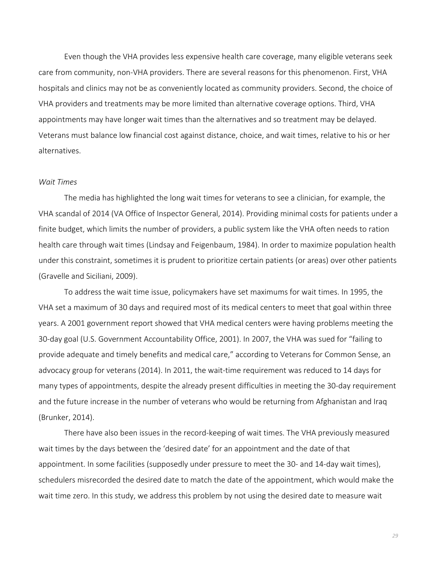Even though the VHA provides less expensive health care coverage, many eligible veterans seek care from community, non‐VHA providers. There are several reasons for this phenomenon. First, VHA hospitals and clinics may not be as conveniently located as community providers. Second, the choice of VHA providers and treatments may be more limited than alternative coverage options. Third, VHA appointments may have longer wait times than the alternatives and so treatment may be delayed. Veterans must balance low financial cost against distance, choice, and wait times, relative to his or her alternatives.

### *Wait Times*

The media has highlighted the long wait times for veterans to see a clinician, for example, the VHA scandal of 2014 (VA Office of Inspector General, 2014). Providing minimal costs for patients under a finite budget, which limits the number of providers, a public system like the VHA often needs to ration health care through wait times (Lindsay and Feigenbaum, 1984). In order to maximize population health under this constraint, sometimes it is prudent to prioritize certain patients (or areas) over other patients (Gravelle and Siciliani, 2009).

To address the wait time issue, policymakers have set maximums for wait times. In 1995, the VHA set a maximum of 30 days and required most of its medical centers to meet that goal within three years. A 2001 government report showed that VHA medical centers were having problems meeting the 30‐day goal (U.S. Government Accountability Office, 2001). In 2007, the VHA was sued for "failing to provide adequate and timely benefits and medical care," according to Veterans for Common Sense, an advocacy group for veterans (2014). In 2011, the wait-time requirement was reduced to 14 days for many types of appointments, despite the already present difficulties in meeting the 30‐day requirement and the future increase in the number of veterans who would be returning from Afghanistan and Iraq (Brunker, 2014).

There have also been issues in the record-keeping of wait times. The VHA previously measured wait times by the days between the 'desired date' for an appointment and the date of that appointment. In some facilities (supposedly under pressure to meet the 30‐ and 14‐day wait times), schedulers misrecorded the desired date to match the date of the appointment, which would make the wait time zero. In this study, we address this problem by not using the desired date to measure wait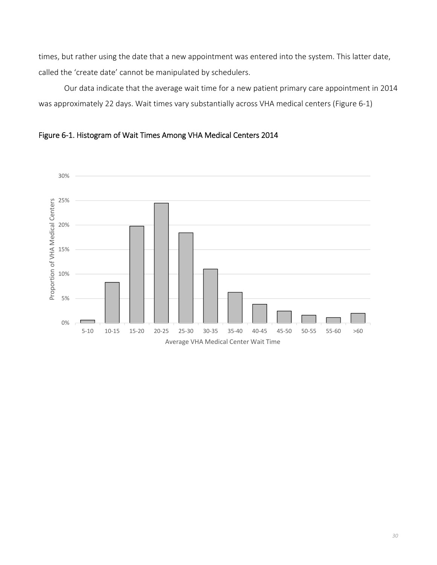times, but rather using the date that a new appointment was entered into the system. This latter date, called the 'create date' cannot be manipulated by schedulers.

Our data indicate that the average wait time for a new patient primary care appointment in 2014 was approximately 22 days. Wait times vary substantially across VHA medical centers (Figure 6‐1)



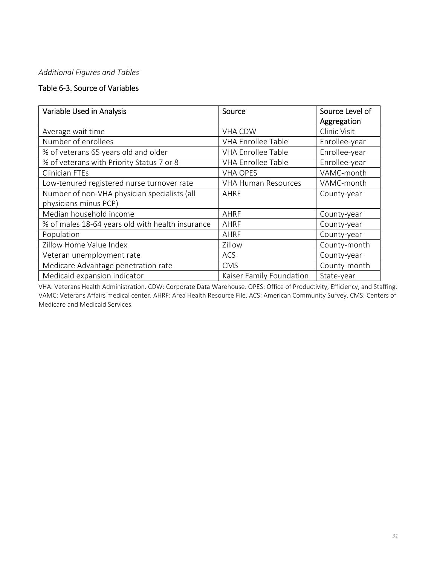# *Additional Figures and Tables*

# Table 6‐3. Source of Variables

| Variable Used in Analysis                        | Source                     | Source Level of |
|--------------------------------------------------|----------------------------|-----------------|
|                                                  |                            | Aggregation     |
| Average wait time                                | <b>VHA CDW</b>             | Clinic Visit    |
| Number of enrollees                              | <b>VHA Enrollee Table</b>  | Enrollee-year   |
| % of veterans 65 years old and older             | <b>VHA Enrollee Table</b>  | Enrollee-year   |
| % of veterans with Priority Status 7 or 8        | <b>VHA Enrollee Table</b>  | Enrollee-year   |
| <b>Clinician FTEs</b>                            | <b>VHA OPES</b>            | VAMC-month      |
| Low-tenured registered nurse turnover rate       | <b>VHA Human Resources</b> | VAMC-month      |
| Number of non-VHA physician specialists (all     | AHRF                       | County-year     |
| physicians minus PCP)                            |                            |                 |
| Median household income                          | AHRF                       | County-year     |
| % of males 18-64 years old with health insurance | AHRF                       | County-year     |
| Population                                       | AHRF                       | County-year     |
| Zillow Home Value Index                          | Zillow                     | County-month    |
| Veteran unemployment rate                        | <b>ACS</b>                 | County-year     |
| Medicare Advantage penetration rate              | <b>CMS</b>                 | County-month    |
| Medicaid expansion indicator                     | Kaiser Family Foundation   | State-year      |

VHA: Veterans Health Administration. CDW: Corporate Data Warehouse. OPES: Office of Productivity, Efficiency, and Staffing. VAMC: Veterans Affairs medical center. AHRF: Area Health Resource File. ACS: American Community Survey. CMS: Centers of Medicare and Medicaid Services.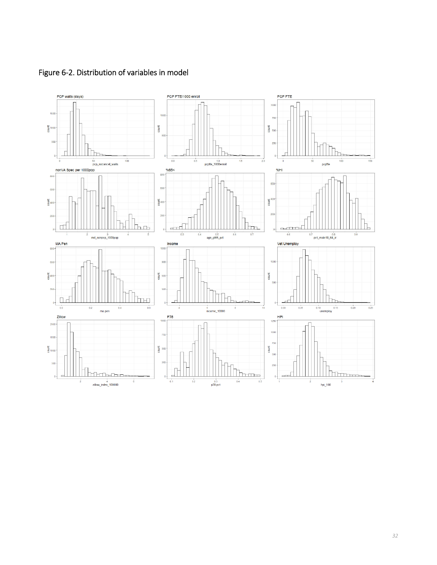

Figure 6‐2. Distribution of variables in model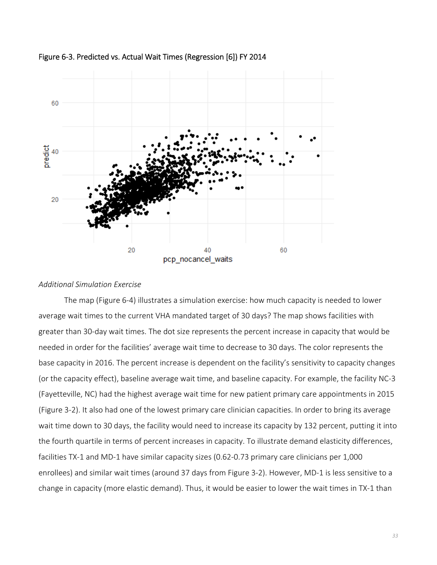

Figure 6‐3. Predicted vs. Actual Wait Times (Regression [6]) FY 2014

### *Additional Simulation Exercise*

The map (Figure 6‐4) illustrates a simulation exercise: how much capacity is needed to lower average wait times to the current VHA mandated target of 30 days? The map shows facilities with greater than 30‐day wait times. The dot size represents the percent increase in capacity that would be needed in order for the facilities' average wait time to decrease to 30 days. The color represents the base capacity in 2016. The percent increase is dependent on the facility's sensitivity to capacity changes (or the capacity effect), baseline average wait time, and baseline capacity. For example, the facility NC‐3 (Fayetteville, NC) had the highest average wait time for new patient primary care appointments in 2015 (Figure 3‐2). It also had one of the lowest primary care clinician capacities. In order to bring its average wait time down to 30 days, the facility would need to increase its capacity by 132 percent, putting it into the fourth quartile in terms of percent increases in capacity. To illustrate demand elasticity differences, facilities TX-1 and MD-1 have similar capacity sizes (0.62-0.73 primary care clinicians per 1,000 enrollees) and similar wait times (around 37 days from Figure 3‐2). However, MD‐1 is less sensitive to a change in capacity (more elastic demand). Thus, it would be easier to lower the wait times in TX‐1 than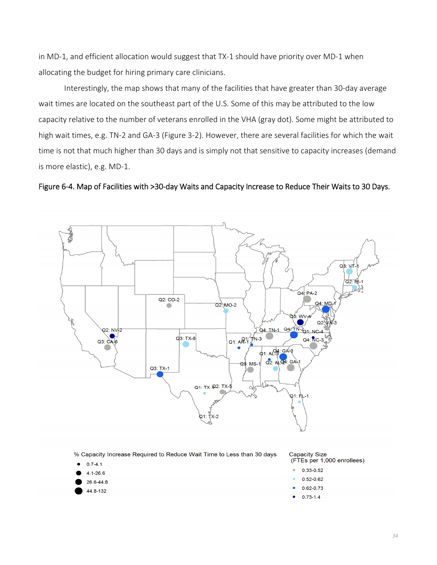in MD‐1, and efficient allocation would suggest that TX‐1 should have priority over MD‐1 when allocating the budget for hiring primary care clinicians.

Interestingly, the map shows that many of the facilities that have greater than 30‐day average wait times are located on the southeast part of the U.S. Some of this may be attributed to the low capacity relative to the number of veterans enrolled in the VHA (gray dot). Some might be attributed to high wait times, e.g. TN-2 and GA-3 (Figure 3-2). However, there are several facilities for which the wait time is not that much higher than 30 days and is simply not that sensitive to capacity increases (demand is more elastic), e.g. MD‐1.

Figure 6‐4. Map of Facilities with >30‐day Waits and Capacity Increase to Reduce Their Waits to 30 Days.



% Capacity Increase Required to Reduce Wait Time to Less than 30 days

- $0.7 4.1$
- $4.1 26.6$
- 26.6-44.8
- 44.8-132

**Capacity Size** (FTEs per 1,000 enrollees)

- $0.33 0.52$
- $0.52 0.62$
- $0.62 0.73$
- $0.73 1.4$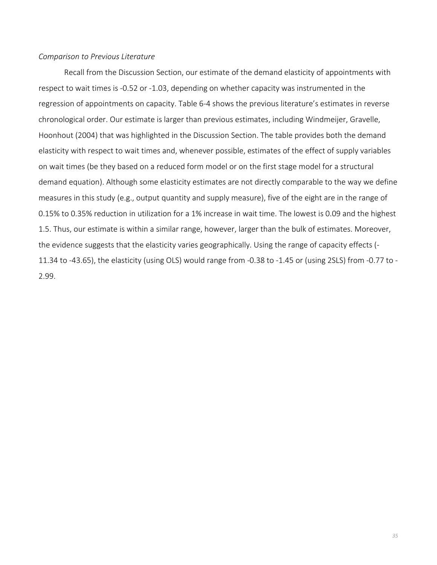### *Comparison to Previous Literature*

Recall from the Discussion Section, our estimate of the demand elasticity of appointments with respect to wait times is ‐0.52 or ‐1.03, depending on whether capacity was instrumented in the regression of appointments on capacity. Table 6‐4 shows the previous literature's estimates in reverse chronological order. Our estimate is larger than previous estimates, including Windmeijer, Gravelle, Hoonhout (2004) that was highlighted in the Discussion Section. The table provides both the demand elasticity with respect to wait times and, whenever possible, estimates of the effect of supply variables on wait times (be they based on a reduced form model or on the first stage model for a structural demand equation). Although some elasticity estimates are not directly comparable to the way we define measures in this study (e.g., output quantity and supply measure), five of the eight are in the range of 0.15% to 0.35% reduction in utilization for a 1% increase in wait time. The lowest is 0.09 and the highest 1.5. Thus, our estimate is within a similar range, however, larger than the bulk of estimates. Moreover, the evidence suggests that the elasticity varies geographically. Using the range of capacity effects (‐ 11.34 to ‐43.65), the elasticity (using OLS) would range from ‐0.38 to ‐1.45 or (using 2SLS) from ‐0.77 to ‐ 2.99.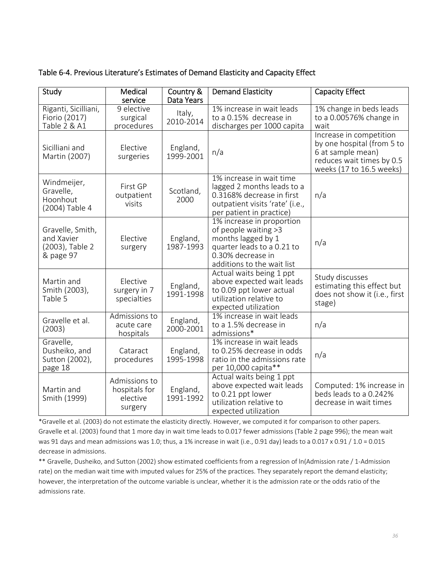| Study                                                          | Medical<br>service                                    | Country &<br>Data Years | <b>Demand Elasticity</b>                                                                                                                                 | <b>Capacity Effect</b>                                                                                                              |
|----------------------------------------------------------------|-------------------------------------------------------|-------------------------|----------------------------------------------------------------------------------------------------------------------------------------------------------|-------------------------------------------------------------------------------------------------------------------------------------|
| Riganti, Sicilliani,<br>Fiorio (2017)<br>Table 2 & A1          | $9$ elective<br>surgical<br>procedures                | Italy,<br>2010-2014     | 1% increase in wait leads<br>to a 0.15% decrease in<br>discharges per 1000 capita                                                                        | 1% change in beds leads<br>to a 0.00576% change in<br>wait                                                                          |
| Sicilliani and<br>Martin (2007)                                | Elective<br>surgeries                                 | England,<br>1999-2001   | n/a                                                                                                                                                      | Increase in competition<br>by one hospital (from 5 to<br>6 at sample mean)<br>reduces wait times by 0.5<br>weeks (17 to 16.5 weeks) |
| Windmeijer,<br>Gravelle,<br>Hoonhout<br>(2004) Table 4         | First GP<br>outpatient<br>visits                      | Scotland,<br>2000       | 1% increase in wait time<br>lagged 2 months leads to a<br>0.3168% decrease in first<br>outpatient visits 'rate' (i.e.,<br>per patient in practice)       | n/a                                                                                                                                 |
| Gravelle, Smith,<br>and Xavier<br>(2003), Table 2<br>& page 97 | Elective<br>surgery                                   | England,<br>1987-1993   | 1% increase in proportion<br>of people waiting >3<br>months lagged by 1<br>quarter leads to a 0.21 to<br>0.30% decrease in<br>additions to the wait list | n/a                                                                                                                                 |
| Martin and<br>Smith (2003),<br>Table 5                         | Elective<br>surgery in 7<br>specialties               | England,<br>1991-1998   | Actual waits being 1 ppt<br>above expected wait leads<br>to 0.09 ppt lower actual<br>utilization relative to<br>expected utilization                     | Study discusses<br>estimating this effect but<br>does not show it (i.e., first<br>stage)                                            |
| Gravelle et al.<br>(2003)                                      | Admissions to<br>acute care<br>hospitals              | England,<br>2000-2001   | 1% increase in wait leads<br>to a 1.5% decrease in<br>admissions*                                                                                        | n/a                                                                                                                                 |
| Gravelle,<br>Dusheiko, and<br>Sutton (2002),<br>page 18        | Cataract<br>procedures                                | England,<br>1995-1998   | 1% increase in wait leads<br>to 0.25% decrease in odds<br>ratio in the admissions rate<br>per 10,000 capita**                                            | n/a                                                                                                                                 |
| Martin and<br>Smith (1999)                                     | Admissions to<br>hospitals for<br>elective<br>surgery | England,<br>1991-1992   | Actual waits being 1 ppt<br>above expected wait leads<br>to 0.21 ppt lower<br>utilization relative to<br>expected utilization                            | Computed: 1% increase in<br>beds leads to a 0.242%<br>decrease in wait times                                                        |

\*Gravelle et al. (2003) do not estimate the elasticity directly. However, we computed it for comparison to other papers. Gravelle et al. (2003) found that 1 more day in wait time leads to 0.017 fewer admissions (Table 2 page 996); the mean wait was 91 days and mean admissions was 1.0; thus, a 1% increase in wait (i.e., 0.91 day) leads to a 0.017 x 0.91 / 1.0 = 0.015 decrease in admissions.

\*\* Gravelle, Dusheiko, and Sutton (2002) show estimated coefficients from a regression of ln(Admission rate / 1‐Admission rate) on the median wait time with imputed values for 25% of the practices. They separately report the demand elasticity; however, the interpretation of the outcome variable is unclear, whether it is the admission rate or the odds ratio of the admissions rate.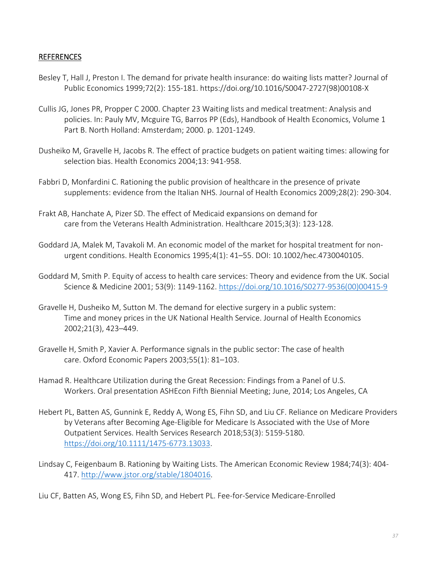## REFERENCES

- Besley T, Hall J, Preston I. The demand for private health insurance: do waiting lists matter? Journal of Public Economics 1999;72(2): 155‐181. https://doi.org/10.1016/S0047‐2727(98)00108‐X
- Cullis JG, Jones PR, Propper C 2000. Chapter 23 Waiting lists and medical treatment: Analysis and policies. In: Pauly MV, Mcguire TG, Barros PP (Eds), Handbook of Health Economics, Volume 1 Part B. North Holland: Amsterdam; 2000. p. 1201‐1249.
- Dusheiko M, Gravelle H, Jacobs R. The effect of practice budgets on patient waiting times: allowing for selection bias. Health Economics 2004;13: 941‐958.
- Fabbri D, Monfardini C. Rationing the public provision of healthcare in the presence of private supplements: evidence from the Italian NHS. Journal of Health Economics 2009;28(2): 290‐304.
- Frakt AB, Hanchate A, Pizer SD. The effect of Medicaid expansions on demand for care from the Veterans Health Administration. Healthcare 2015;3(3): 123‐128.
- Goddard JA, Malek M, Tavakoli M. An economic model of the market for hospital treatment for non‐ urgent conditions. Health Economics 1995;4(1): 41–55. DOI: 10.1002/hec.4730040105.
- Goddard M, Smith P. Equity of access to health care services: Theory and evidence from the UK. Social Science & Medicine 2001; 53(9): 1149‐1162. https://doi.org/10.1016/S0277‐9536(00)00415‐9
- Gravelle H, Dusheiko M, Sutton M. The demand for elective surgery in a public system: Time and money prices in the UK National Health Service. Journal of Health Economics 2002;21(3), 423–449.
- Gravelle H, Smith P, Xavier A. Performance signals in the public sector: The case of health care. Oxford Economic Papers 2003;55(1): 81–103.
- Hamad R. Healthcare Utilization during the Great Recession: Findings from a Panel of U.S. Workers. Oral presentation ASHEcon Fifth Biennial Meeting; June, 2014; Los Angeles, CA
- Hebert PL, Batten AS, Gunnink E, Reddy A, Wong ES, Fihn SD, and Liu CF. Reliance on Medicare Providers by Veterans after Becoming Age‐Eligible for Medicare Is Associated with the Use of More Outpatient Services. Health Services Research 2018;53(3): 5159‐5180. https://doi.org/10.1111/1475‐6773.13033.
- Lindsay C, Feigenbaum B. Rationing by Waiting Lists. The American Economic Review 1984;74(3): 404‐ 417. http://www.jstor.org/stable/1804016.
- Liu CF, Batten AS, Wong ES, Fihn SD, and Hebert PL. Fee‐for‐Service Medicare‐Enrolled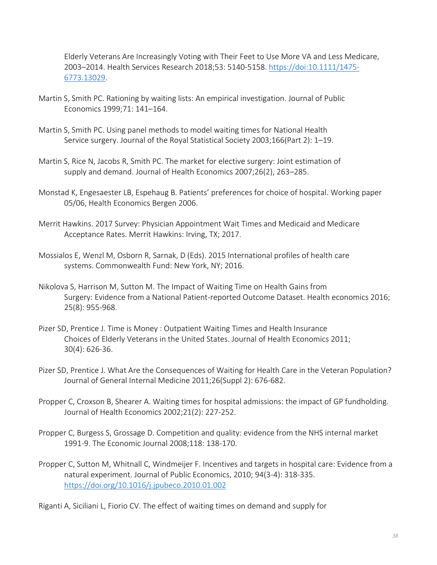Elderly Veterans Are Increasingly Voting with Their Feet to Use More VA and Less Medicare, 2003–2014. Health Services Research 2018;53: 5140‐5158. https://doi:10.1111/1475‐ 6773.13029.

- Martin S, Smith PC. Rationing by waiting lists: An empirical investigation. Journal of Public Economics 1999;71: 141–164.
- Martin S, Smith PC. Using panel methods to model waiting times for National Health Service surgery. Journal of the Royal Statistical Society 2003;166(Part 2): 1–19.
- Martin S, Rice N, Jacobs R, Smith PC. The market for elective surgery: Joint estimation of supply and demand. Journal of Health Economics 2007;26(2), 263–285.
- Monstad K, Engesaester LB, Espehaug B. Patients' preferences for choice of hospital. Working paper 05/06, Health Economics Bergen 2006.
- Merrit Hawkins. 2017 Survey: Physician Appointment Wait Times and Medicaid and Medicare Acceptance Rates. Merrit Hawkins: Irving, TX; 2017.
- Mossialos E, Wenzl M, Osborn R, Sarnak, D (Eds). 2015 International profiles of health care systems. Commonwealth Fund: New York, NY; 2016.
- Nikolova S, Harrison M, Sutton M. The Impact of Waiting Time on Health Gains from Surgery: Evidence from a National Patient‐reported Outcome Dataset. Health economics 2016; 25(8): 955‐968.
- Pizer SD, Prentice J. Time is Money : Outpatient Waiting Times and Health Insurance Choices of Elderly Veterans in the United States. Journal of Health Economics 2011; 30(4): 626‐36.
- Pizer SD, Prentice J. What Are the Consequences of Waiting for Health Care in the Veteran Population? Journal of General Internal Medicine 2011;26(Suppl 2): 676‐682.
- Propper C, Croxson B, Shearer A. Waiting times for hospital admissions: the impact of GP fundholding. Journal of Health Economics 2002;21(2): 227‐252.
- Propper C, Burgess S, Grossage D. Competition and quality: evidence from the NHS internal market 1991‐9. The Economic Journal 2008;118: 138‐170.
- Propper C, Sutton M, Whitnall C, Windmeijer F. Incentives and targets in hospital care: Evidence from a natural experiment. Journal of Public Economics, 2010; 94(3‐4): 318‐335. https://doi.org/10.1016/j.jpubeco.2010.01.002

Riganti A, Siciliani L, Fiorio CV. The effect of waiting times on demand and supply for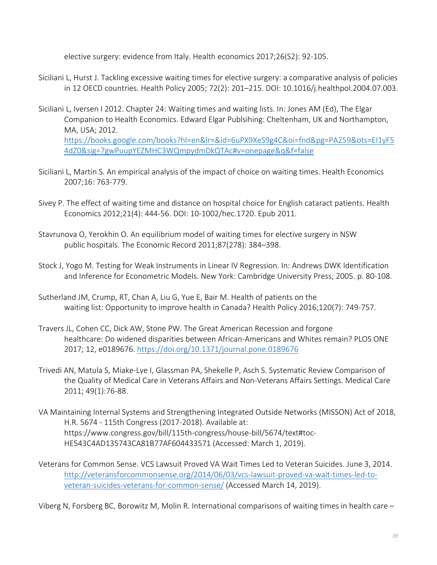elective surgery: evidence from Italy. Health economics 2017;26(S2): 92‐105.

- Siciliani L, Hurst J. Tackling excessive waiting times for elective surgery: a comparative analysis of policies in 12 OECD countries. Health Policy 2005; 72(2): 201–215. DOI: 10.1016/j.healthpol.2004.07.003.
- Siciliani L, Iversen I 2012. Chapter 24: Waiting times and waiting lists. In: Jones AM (Ed), The Elgar Companion to Health Economics. Edward Elgar Publsihing: Cheltenham, UK and Northampton, MA, USA; 2012. https://books.google.com/books?hl=en&lr=&id=6uPX9XeS9g4C&oi=fnd&pg=PA259&ots=EI1yF5 4dZ0&sig=7gwPuupYEZMHC3WQmpydmDkQTAc#v=onepage&q&f=false
- Siciliani L, Martin S. An empirical analysis of the impact of choice on waiting times. Health Economics 2007;16: 763‐779.
- Sivey P. The effect of waiting time and distance on hospital choice for English cataract patients. Health Economics 2012;21(4): 444‐56. DOI: 10‐1002/hec.1720. Epub 2011.
- Stavrunova O, Yerokhin O. An equilibrium model of waiting times for elective surgery in NSW public hospitals. The Economic Record 2011;87(278): 384–398.
- Stock J, Yogo M. Testing for Weak Instruments in Linear IV Regression. In: Andrews DWK Identification and Inference for Econometric Models. New York: Cambridge University Press; 2005. p. 80‐108.
- Sutherland JM, Crump, RT, Chan A, Liu G, Yue E, Bair M. Health of patients on the waiting list: Opportunity to improve health in Canada? Health Policy 2016;120(7): 749‐757.
- Travers JL, Cohen CC, Dick AW, Stone PW. The Great American Recession and forgone healthcare: Do widened disparities between African-Americans and Whites remain? PLOS ONE 2017; 12, e0189676. https://doi.org/10.1371/journal.pone.0189676
- Trivedi AN, Matula S, Miake‐Lye I, Glassman PA, Shekelle P, Asch S. Systematic Review Comparison of the Quality of Medical Care in Veterans Affairs and Non‐Veterans Affairs Settings. Medical Care 2011; 49(1):76‐88.
- VA Maintaining Internal Systems and Strengthening Integrated Outside Networks (MISSON) Act of 2018, H.R. 5674 ‐ 115th Congress (2017‐2018). Available at: https://www.congress.gov/bill/115th‐congress/house‐bill/5674/text#toc‐ HE543C4AD135743CA81B77AF604433571 (Accessed: March 1, 2019).
- Veterans for Common Sense. VCS Lawsuit Proved VA Wait Times Led to Veteran Suicides. June 3, 2014. http://veteransforcommonsense.org/2014/06/03/vcs‐lawsuit‐proved‐va‐wait‐times‐led‐to‐ veteran‐suicides‐veterans‐for‐common‐sense/ (Accessed March 14, 2019).

Viberg N, Forsberg BC, Borowitz M, Molin R. International comparisons of waiting times in health care –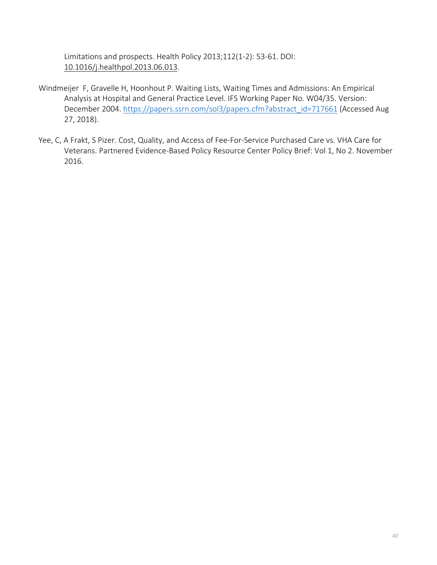Limitations and prospects. Health Policy 2013;112(1‐2): 53‐61. DOI: 10.1016/j.healthpol.2013.06.013.

- Windmeijer F, Gravelle H, Hoonhout P. Waiting Lists, Waiting Times and Admissions: An Empirical Analysis at Hospital and General Practice Level. IFS Working Paper No. W04/35. Version: December 2004. https://papers.ssrn.com/sol3/papers.cfm?abstract\_id=717661 (Accessed Aug 27, 2018).
- Yee, C, A Frakt, S Pizer. Cost, Quality, and Access of Fee-For-Service Purchased Care vs. VHA Care for Veterans. Partnered Evidence‐Based Policy Resource Center Policy Brief: Vol 1, No 2. November 2016.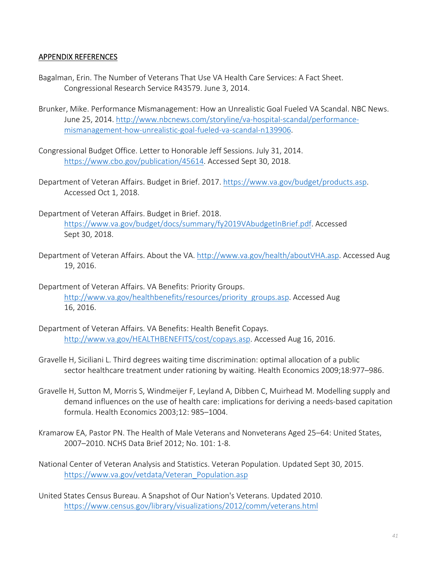## APPENDIX REFERENCES

- Bagalman, Erin. The Number of Veterans That Use VA Health Care Services: A Fact Sheet. Congressional Research Service R43579. June 3, 2014.
- Brunker, Mike. Performance Mismanagement: How an Unrealistic Goal Fueled VA Scandal. NBC News. June 25, 2014. http://www.nbcnews.com/storyline/va‐hospital‐scandal/performance‐ mismanagement‐how‐unrealistic‐goal‐fueled‐va‐scandal‐n139906.
- Congressional Budget Office. Letter to Honorable Jeff Sessions. July 31, 2014. https://www.cbo.gov/publication/45614. Accessed Sept 30, 2018.
- Department of Veteran Affairs. Budget in Brief. 2017. https://www.va.gov/budget/products.asp. Accessed Oct 1, 2018.
- Department of Veteran Affairs. Budget in Brief. 2018. https://www.va.gov/budget/docs/summary/fy2019VAbudgetInBrief.pdf. Accessed Sept 30, 2018.
- Department of Veteran Affairs. About the VA. http://www.va.gov/health/aboutVHA.asp. Accessed Aug 19, 2016.
- Department of Veteran Affairs. VA Benefits: Priority Groups. http://www.va.gov/healthbenefits/resources/priority\_groups.asp. Accessed Aug 16, 2016.
- Department of Veteran Affairs. VA Benefits: Health Benefit Copays. http://www.va.gov/HEALTHBENEFITS/cost/copays.asp. Accessed Aug 16, 2016.
- Gravelle H, Siciliani L. Third degrees waiting time discrimination: optimal allocation of a public sector healthcare treatment under rationing by waiting. Health Economics 2009;18:977–986.
- Gravelle H, Sutton M, Morris S, Windmeijer F, Leyland A, Dibben C, Muirhead M. Modelling supply and demand influences on the use of health care: implications for deriving a needs‐based capitation formula. Health Economics 2003;12: 985–1004.
- Kramarow EA, Pastor PN. The Health of Male Veterans and Nonveterans Aged 25–64: United States, 2007–2010. NCHS Data Brief 2012; No. 101: 1‐8.
- National Center of Veteran Analysis and Statistics. Veteran Population. Updated Sept 30, 2015. https://www.va.gov/vetdata/Veteran\_Population.asp
- United States Census Bureau. A Snapshot of Our Nation's Veterans. Updated 2010. https://www.census.gov/library/visualizations/2012/comm/veterans.html